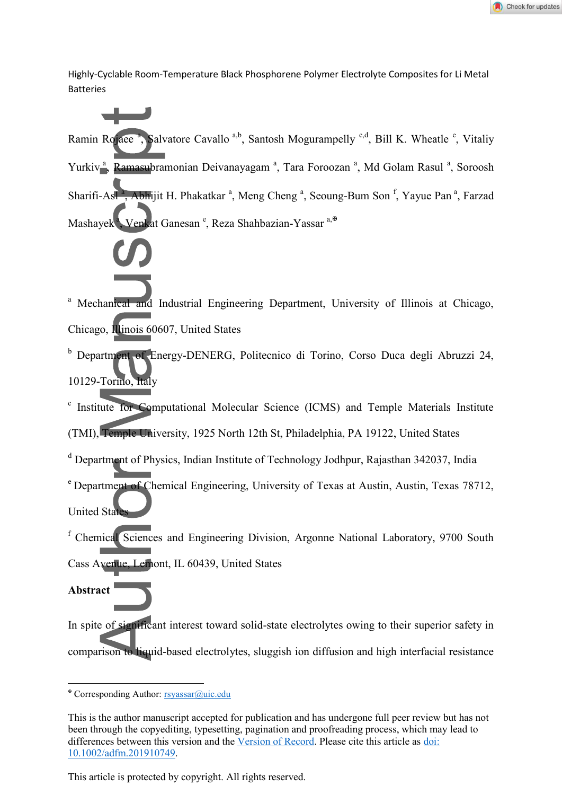Highly-Cyclable Room-Temperature Black Phosphorene Polymer Electrolyte Composites for Li Metal Batteries

Ramin Rojaee<sup>a</sup>, Salvatore Cavallo<sup>a,b</sup>, Santosh Mogurampelly<sup>c,d</sup>, Bill K. Wheatle<sup>e</sup>, Vitaliy Yurkiv<sup>a</sup>, Ramasubramonian Deivanayagam<sup>a</sup>, Tara Foroozan<sup>a</sup>, Md Golam Rasul<sup>a</sup>, Soroosh Sharifi-Asl<sup>a</sup>, Abhijit H. Phakatkar<sup>a</sup>, Meng Cheng<sup>a</sup>, Seoung-Bum Son<sup>f</sup>, Yayue Pan<sup>a</sup>, Farzad Mashayek<sup>a</sup>, Venkat Ganesan <sup>e</sup>, Reza Shahbazian-Yassar a, <sup>a, a</sup>

a Mechanical and Industrial Engineering Department, University of Illinois at Chicago, Chicago, Illinois 60607, United States

<sup>b</sup> Department of Energy-DENERG, Politecnico di Torino, Corso Duca degli Abruzzi 24, 10129-Torino, Italy

c Institute for Computational Molecular Science (ICMS) and Temple Materials Institute

(TMI), Temple University, 1925 North 12th St, Philadelphia, PA 19122, United States

<sup>d</sup> Department of Physics, Indian Institute of Technology Jodhpur, Rajasthan 342037, India

<sup>e</sup> Department of Chemical Engineering, University of Texas at Austin, Austin, Texas 78712, **United State** 

f Chemical Sciences and Engineering Division, Argonne National Laboratory, 9700 South Cass Avenue, Lemont, IL 60439, United States

**Abstract** 

<u>.</u>

In spite of significant interest toward solid-state electrolytes owing to their superior safety in comparison to liquid-based electrolytes, sluggish ion diffusion and high interfacial resistance

This article is protected by copyright. All rights reserved.

Corresponding Author: [rsyassar@uic.edu](mailto:rsyassar@uic.edu)

This is the author manuscript accepted for publication and has undergone full peer review but has not been through the copyediting, typesetting, pagination and proofreading process, which may lead to differences between this version and the [Version of Record.](https://doi.org/10.1002/adfm.201910749) Please cite this article as [doi:](https://doi.org/10.1002/adfm.201910749)  [10.1002/adfm.201910749.](https://doi.org/10.1002/adfm.201910749)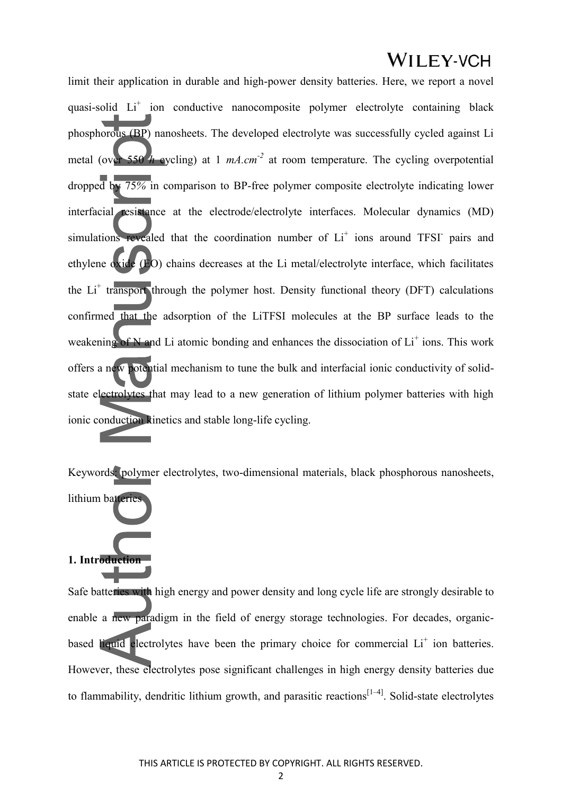limit their application in durable and high-power density batteries. Here, we report a novel quasi-solid Li<sup>+</sup> ion conductive nanocomposite polymer electrolyte containing black phosphorous (BP) nanosheets. The developed electrolyte was successfully cycled against Li metal (over 550 *h* eyeling) at 1  $mA.cm^{-2}$  at room temperature. The cycling overpotential dropped by 75*%* in comparison to BP-free polymer composite electrolyte indicating lower interfacial resistance at the electrode/electrolyte interfaces. Molecular dynamics (MD) simulations revealed that the coordination number of Li<sup>+</sup> ions around TFSI<sup>-</sup> pairs and ethylene oxide (EO) chains decreases at the Li metal/electrolyte interface, which facilitates the Li<sup>+</sup> transport through the polymer host. Density functional theory (DFT) calculations confirmed that the adsorption of the LiTFSI molecules at the BP surface leads to the weakening of N and Li atomic bonding and enhances the dissociation of Li<sup>+</sup> ions. This work offers a new potential mechanism to tune the bulk and interfacial ionic conductivity of solidstate electrolytes that may lead to a new generation of lithium polymer batteries with high ionic conduction kinetics and stable long-life cycling.

Keywords: polymer electrolytes, two-dimensional materials, black phosphorous nanosheets, lithium batteries

#### **1. Introduction**

Safe batteries with high energy and power density and long cycle life are strongly desirable to enable a new paradigm in the field of energy storage technologies. For decades, organicbased liquid electrolytes have been the primary choice for commercial Li<sup>+</sup> ion batteries. However, these electrolytes pose significant challenges in high energy density batteries due to flammability, dendritic lithium growth, and parasitic reactions<sup> $[1-4]$ </sup>. Solid-state electrolytes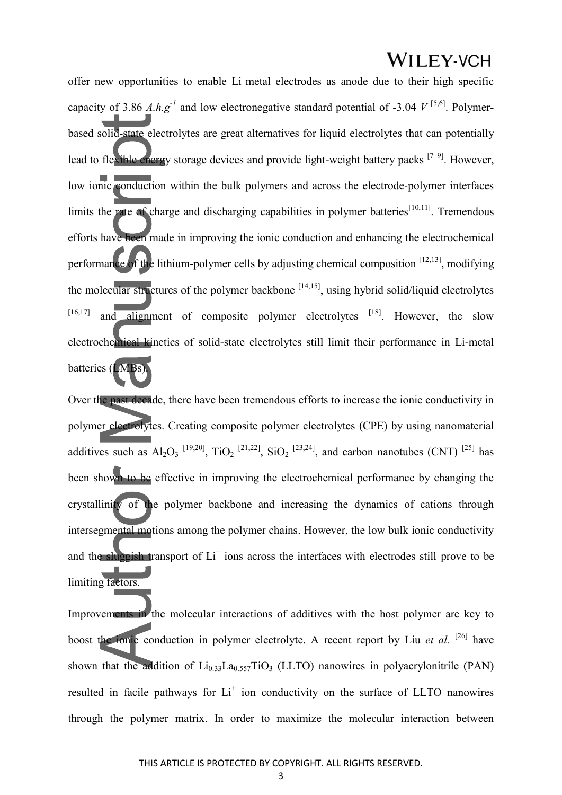offer new opportunities to enable Li metal electrodes as anode due to their high specific capacity of 3.86 *A.h.g<sup>-1</sup>* and low electronegative standard potential of -3.04  $V^{[5,6]}$ . Polymerbased solid-state electrolytes are great alternatives for liquid electrolytes that can potentially lead to flexible energy storage devices and provide light-weight battery packs [7–9]. However, low ionic conduction within the bulk polymers and across the electrode-polymer interfaces limits the rate of charge and discharging capabilities in polymer batteries<sup>[10,11]</sup>. Tremendous efforts have been made in improving the ionic conduction and enhancing the electrochemical performance of the lithium-polymer cells by adjusting chemical composition [12,13], modifying the molecular structures of the polymer backbone  $[14,15]$ , using hybrid solid/liquid electrolytes  $[16,17]$  and alignment of composite polymer electrolytes  $[18]$ . However, the slow electrochemical kinetics of solid-state electrolytes still limit their performance in Li-metal batteries (LMBs).

Over the past decade, there have been tremendous efforts to increase the ionic conductivity in polymer electrolytes. Creating composite polymer electrolytes (CPE) by using nanomaterial additives such as  $Al_2O_3$  <sup>[19,20]</sup>, TiO<sub>2</sub> <sup>[21,22]</sup>, SiO<sub>2</sub> <sup>[23,24]</sup>, and carbon nanotubes (CNT) <sup>[25]</sup> has been shown to be effective in improving the electrochemical performance by changing the crystallinity of the polymer backbone and increasing the dynamics of cations through intersegmental motions among the polymer chains. However, the low bulk ionic conductivity and the sluggish transport of  $Li<sup>+</sup>$  ions across the interfaces with electrodes still prove to be limiting factors.

Improvements in the molecular interactions of additives with the host polymer are key to boost the ionic conduction in polymer electrolyte. A recent report by Liu *et al.* <sup>[26]</sup> have shown that the addition of  $Li<sub>0.33</sub>La<sub>0.557</sub>TiO<sub>3</sub>$  (LLTO) nanowires in polyacrylonitrile (PAN) resulted in facile pathways for Li<sup>+</sup> ion conductivity on the surface of LLTO nanowires through the polymer matrix. In order to maximize the molecular interaction between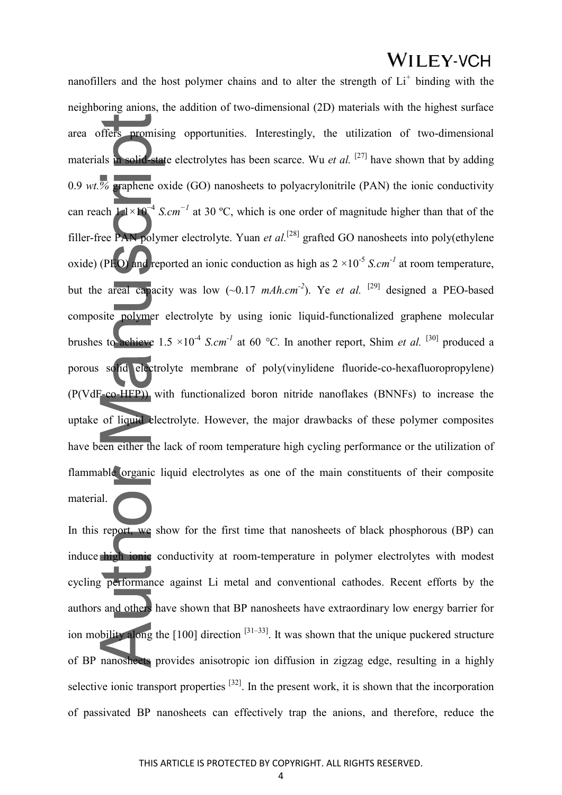nanofillers and the host polymer chains and to alter the strength of Li<sup>+</sup> binding with the neighboring anions, the addition of two-dimensional (2D) materials with the highest surface area offers promising opportunities. Interestingly, the utilization of two-dimensional materials in solid-state electrolytes has been scarce. Wu *et al.* <sup>[27]</sup> have shown that by adding 0.9 *wt.*  $\%$  **graphene** oxide (GO) nanosheets to polyacrylonitrile (PAN) the ionic conductivity can reach 1.1×10<sup>-4</sup> *S.cm*<sup>-*1*</sup> at 30 °C, which is one order of magnitude higher than that of the filler-free PAN polymer electrolyte. Yuan *et al.*[28] grafted GO nanosheets into poly(ethylene oxide) (PFO) and reported an ionic conduction as high as  $2 \times 10^{-5}$  *S.cm<sup>-1</sup>* at room temperature, but the areal capacity was low  $(-0.17 \text{ mA}h.cm^2)$ . Ye *et al.* <sup>[29]</sup> designed a PEO-based composite polymer electrolyte by using ionic liquid-functionalized graphene molecular brushes to achieve  $1.5 \times 10^{-4}$  *S.cm<sup>-1</sup>* at 60 °C. In another report, Shim *et al.* <sup>[30]</sup> produced a porous solid electrolyte membrane of poly(vinylidene fluoride-co-hexafluoropropylene) (P(VdF-co-HFP)) with functionalized boron nitride nanoflakes (BNNFs) to increase the uptake of liquid electrolyte. However, the major drawbacks of these polymer composites have been either the lack of room temperature high cycling performance or the utilization of flammable organic liquid electrolytes as one of the main constituents of their composite

In this report, we show for the first time that nanosheets of black phosphorous (BP) can induce high ionic conductivity at room-temperature in polymer electrolytes with modest cycling performance against Li metal and conventional cathodes. Recent efforts by the authors and others have shown that BP nanosheets have extraordinary low energy barrier for ion mobility along the  $[100]$  direction  $[31-33]$ . It was shown that the unique puckered structure of BP nanosheets provides anisotropic ion diffusion in zigzag edge, resulting in a highly selective ionic transport properties <sup>[32]</sup>. In the present work, it is shown that the incorporation of passivated BP nanosheets can effectively trap the anions, and therefore, reduce the

material.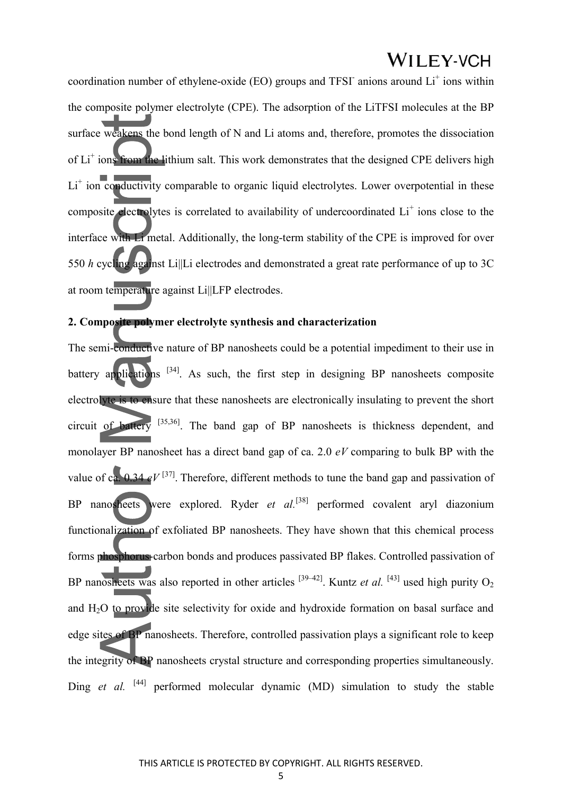coordination number of ethylene-oxide (EO) groups and TFSI anions around  $Li<sup>+</sup>$  ions within the composite polymer electrolyte (CPE). The adsorption of the LiTFSI molecules at the BP surface weakens the bond length of N and Li atoms and, therefore, promotes the dissociation of Li<sup>+</sup> ions from the lithium salt. This work demonstrates that the designed CPE delivers high Li<sup>+</sup> ion conductivity comparable to organic liquid electrolytes. Lower overpotential in these composite electrolytes is correlated to availability of undercoordinated  $Li<sup>+</sup>$  ions close to the interface with Li metal. Additionally, the long-term stability of the CPE is improved for over 550 *h* cycling against Li||Li electrodes and demonstrated a great rate performance of up to 3C at room temperature against Li||LFP electrodes.

#### **2. Composite polymer electrolyte synthesis and characterization**

The semi-conductive nature of BP nanosheets could be a potential impediment to their use in battery applications  $[34]$ . As such, the first step in designing BP nanosheets composite electrolyte is to ensure that these nanosheets are electronically insulating to prevent the short circuit of battery [35,36]. The band gap of BP nanosheets is thickness dependent, and monolayer BP nanosheet has a direct band gap of ca. 2.0 *eV* comparing to bulk BP with the value of ca.  $0.34 \text{ eV}^{[37]}$ . Therefore, different methods to tune the band gap and passivation of BP nanosheets were explored. Ryder *et al.*<sup>[38]</sup> performed covalent aryl diazonium functionalization of exfoliated BP nanosheets. They have shown that this chemical process forms phosphorus-carbon bonds and produces passivated BP flakes. Controlled passivation of BP nanosheets was also reported in other articles  $[39-42]$ . Kuntz *et al.*  $[43]$  used high purity O<sub>2</sub> and H2O to provide site selectivity for oxide and hydroxide formation on basal surface and edge sites of BP nanosheets. Therefore, controlled passivation plays a significant role to keep the integrity of BP nanosheets crystal structure and corresponding properties simultaneously. Ding *et al.* [44] performed molecular dynamic (MD) simulation to study the stable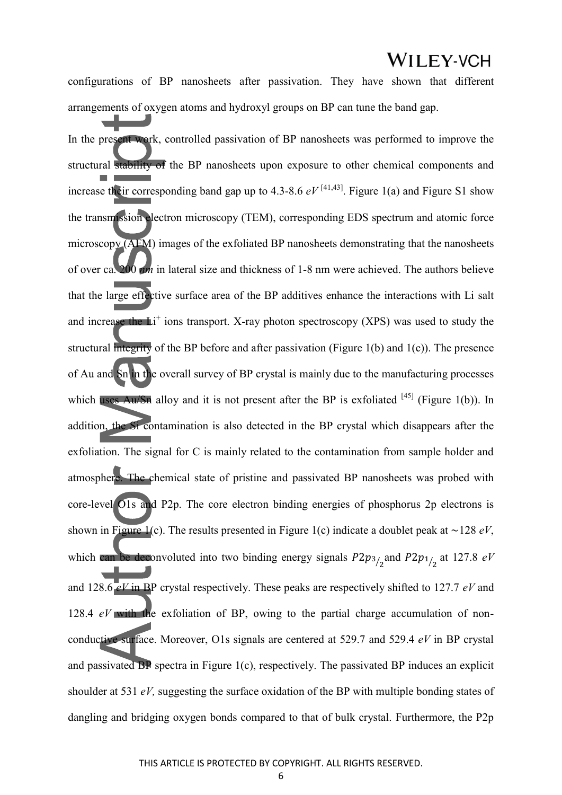configurations of BP nanosheets after passivation. They have shown that different arrangements of oxygen atoms and hydroxyl groups on BP can tune the band gap.

In the present work, controlled passivation of BP nanosheets was performed to improve the structural stability of the BP nanosheets upon exposure to other chemical components and increase their corresponding band gap up to 4.3-8.6  $eV^{[41,43]}$ . Figure 1(a) and Figure S1 show the transmission electron microscopy (TEM), corresponding EDS spectrum and atomic force microscopy (AFM) images of the exfoliated BP nanosheets demonstrating that the nanosheets of over ca. 200 *nm* in lateral size and thickness of 1-8 nm were achieved. The authors believe that the large effective surface area of the BP additives enhance the interactions with Li salt and increase the  $Li<sup>+</sup>$  ions transport. X-ray photon spectroscopy (XPS) was used to study the structural integrity of the BP before and after passivation (Figure 1(b) and 1(c)). The presence of Au and Sn in the overall survey of BP crystal is mainly due to the manufacturing processes which uses Au/Sn alloy and it is not present after the BP is exfoliated  $[45]$  (Figure 1(b)). In addition, the Si contamination is also detected in the BP crystal which disappears after the exfoliation. The signal for C is mainly related to the contamination from sample holder and atmosphere. The chemical state of pristine and passivated BP nanosheets was probed with core-level O1s and P2p. The core electron binding energies of phosphorus 2p electrons is shown in Figure 1(c). The results presented in Figure 1(c) indicate a doublet peak at ∼128 *eV*, which can be deconvoluted into two binding energy signals  $P2p_{3/2}$  and  $P2p_{1/2}$  at 127.8 *eV* and 128.6 *eV* in BP crystal respectively. These peaks are respectively shifted to 127.7 *eV* and 128.4 *eV* with the exfoliation of BP, owing to the partial charge accumulation of nonconductive surface. Moreover, O1s signals are centered at 529.7 and 529.4 *eV* in BP crystal and passivated BP spectra in Figure 1(c), respectively. The passivated BP induces an explicit shoulder at 531 *eV,* suggesting the surface oxidation of the BP with multiple bonding states of dangling and bridging oxygen bonds compared to that of bulk crystal. Furthermore, the P2p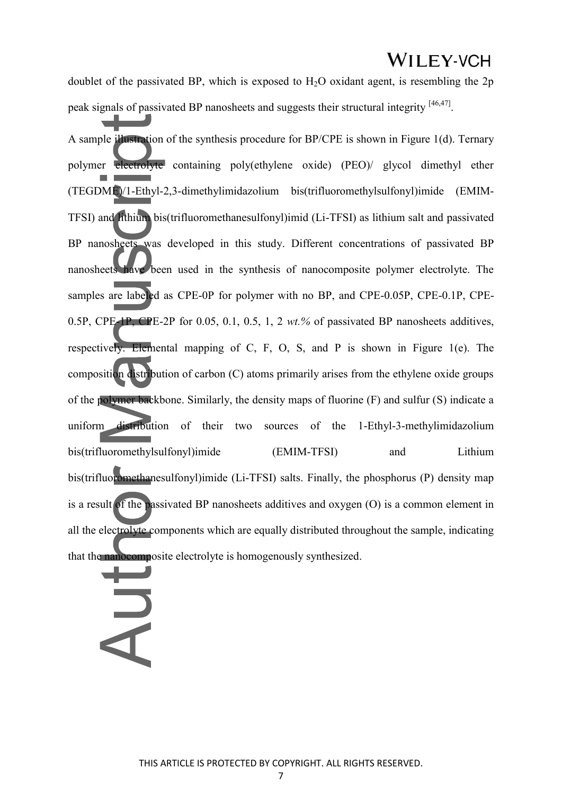doublet of the passivated BP, which is exposed to  $H<sub>2</sub>O$  oxidant agent, is resembling the 2p peak signals of passivated BP nanosheets and suggests their structural integrity <sup>[46,47]</sup>.

A sample illustration of the synthesis procedure for BP/CPE is shown in Figure 1(d). Ternary polymer electrolyte containing poly(ethylene oxide) (PEO)/ glycol dimethyl ether (TEGDME)/1-Ethyl-2,3-dimethylimidazolium bis(trifluoromethylsulfonyl)imide (EMIM-TFSI) and lithium bis(trifluoromethanesulfonyl)imid (Li-TFSI) as lithium salt and passivated BP nanosheets was developed in this study. Different concentrations of passivated BP nanosheets have been used in the synthesis of nanocomposite polymer electrolyte. The samples are labeled as CPE-0P for polymer with no BP, and CPE-0.05P, CPE-0.1P, CPE-0.5P, CPE-1P, CPE-2P for 0.05, 0.1, 0.5, 1, 2 *wt.%* of passivated BP nanosheets additives, respectively. Elemental mapping of C, F, O, S, and P is shown in Figure 1(e). The composition distribution of carbon (C) atoms primarily arises from the ethylene oxide groups of the polymer backbone. Similarly, the density maps of fluorine (F) and sulfur (S) indicate a uniform distribution of their two sources of the 1-Ethyl-3-methylimidazolium bis(trifluoromethylsulfonyl)imide (EMIM-TFSI) and Lithium bis(trifluoromethanesulfonyl)imide (Li-TFSI) salts. Finally, the phosphorus (P) density map is a result of the passivated BP nanosheets additives and oxygen (O) is a common element in all the electrolyte components which are equally distributed throughout the sample, indicating that the nanocomposite electrolyte is homogenously synthesized.

## H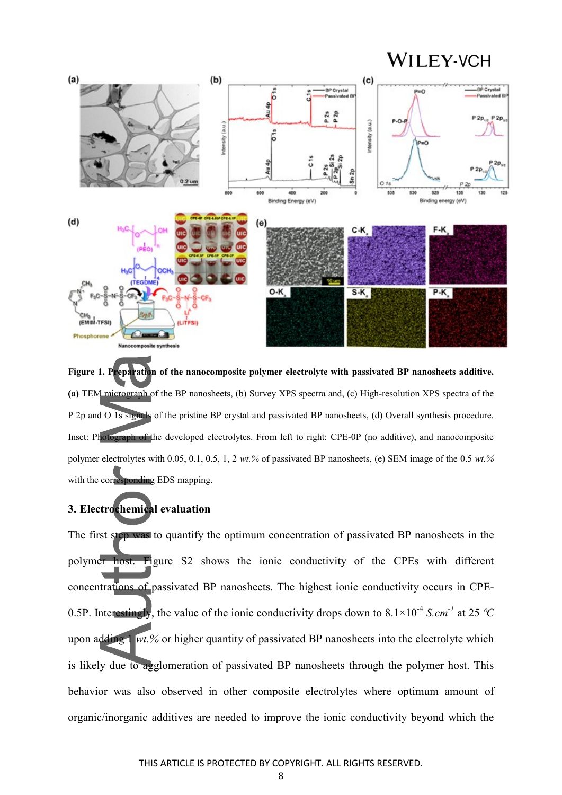

**Figure 1. Preparation of the nanocomposite polymer electrolyte with passivated BP nanosheets additive. (a)** TEM micrograph of the BP nanosheets, (b) Survey XPS spectra and, (c) High-resolution XPS spectra of the P 2p and O 1s signals of the pristine BP crystal and passivated BP nanosheets, (d) Overall synthesis procedure. Inset: Photograph of the developed electrolytes. From left to right: CPE-0P (no additive), and nanocomposite polymer electrolytes with 0.05, 0.1, 0.5, 1, 2 *wt.%* of passivated BP nanosheets, (e) SEM image of the 0.5 *wt.%* with the corresponding EDS mapping.

#### **3. Electrochemical evaluation**

The first step was to quantify the optimum concentration of passivated BP nanosheets in the polymer host. Figure S2 shows the ionic conductivity of the CPEs with different concentrations of passivated BP nanosheets. The highest ionic conductivity occurs in CPE-0.5P. Interestingly, the value of the ionic conductivity drops down to  $8.1 \times 10^{-4}$  *S.cm<sup>-1</sup>* at 25 *°C* upon adding 1 *wt.%* or higher quantity of passivated BP nanosheets into the electrolyte which is likely due to agglomeration of passivated BP nanosheets through the polymer host. This behavior was also observed in other composite electrolytes where optimum amount of organic/inorganic additives are needed to improve the ionic conductivity beyond which the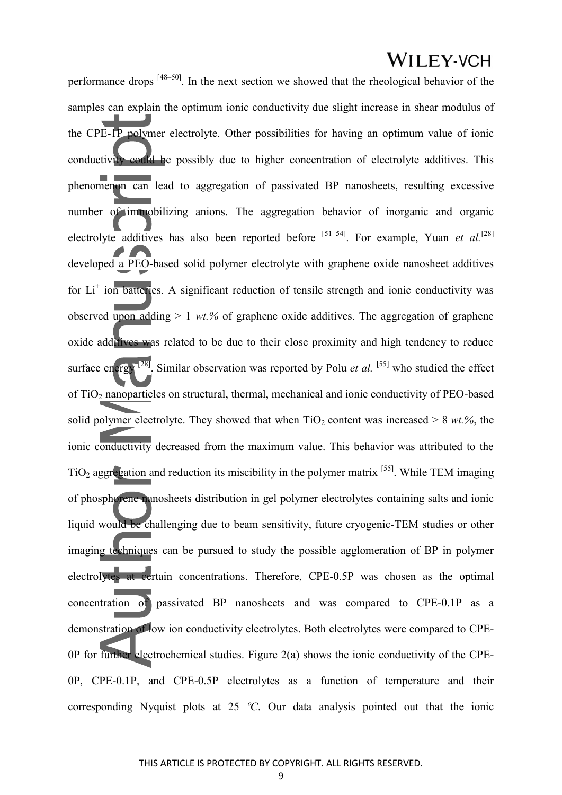performance drops [48–50]. In the next section we showed that the rheological behavior of the samples can explain the optimum ionic conductivity due slight increase in shear modulus of the CPE-1P polymer electrolyte. Other possibilities for having an optimum value of ionic conductivity could be possibly due to higher concentration of electrolyte additives. This phenomenon can lead to aggregation of passivated BP nanosheets, resulting excessive number of immobilizing anions. The aggregation behavior of inorganic and organic electrolyte additives has also been reported before <sup>[51–54]</sup>. For example, Yuan *et al.*<sup>[28]</sup> developed a PEO-based solid polymer electrolyte with graphene oxide nanosheet additives for Li<sup>+</sup> ion batteries. A significant reduction of tensile strength and ionic conductivity was observed upon adding  $> 1$  *wt.%* of graphene oxide additives. The aggregation of graphene oxide additives was related to be due to their close proximity and high tendency to reduce surface energy  $[28]$ . Similar observation was reported by Polu *et al.* [55] who studied the effect of TiO2 nanoparticles on structural, thermal, mechanical and ionic conductivity of PEO-based solid polymer electrolyte. They showed that when  $TiO<sub>2</sub>$  content was increased  $> 8$  *wt.%*, the ionic conductivity decreased from the maximum value. This behavior was attributed to the  $TiO<sub>2</sub>$  aggregation and reduction its miscibility in the polymer matrix <sup>[55]</sup>. While TEM imaging of phosphorene nanosheets distribution in gel polymer electrolytes containing salts and ionic liquid would be challenging due to beam sensitivity, future cryogenic-TEM studies or other imaging techniques can be pursued to study the possible agglomeration of BP in polymer electrolytes at certain concentrations. Therefore, CPE-0.5P was chosen as the optimal concentration of passivated BP nanosheets and was compared to CPE-0.1P as a demonstration of low ion conductivity electrolytes. Both electrolytes were compared to CPE-0P for further electrochemical studies. Figure 2(a) shows the ionic conductivity of the CPE-0P, CPE-0.1P, and CPE-0.5P electrolytes as a function of temperature and their corresponding Nyquist plots at 25 *ºC*. Our data analysis pointed out that the ionic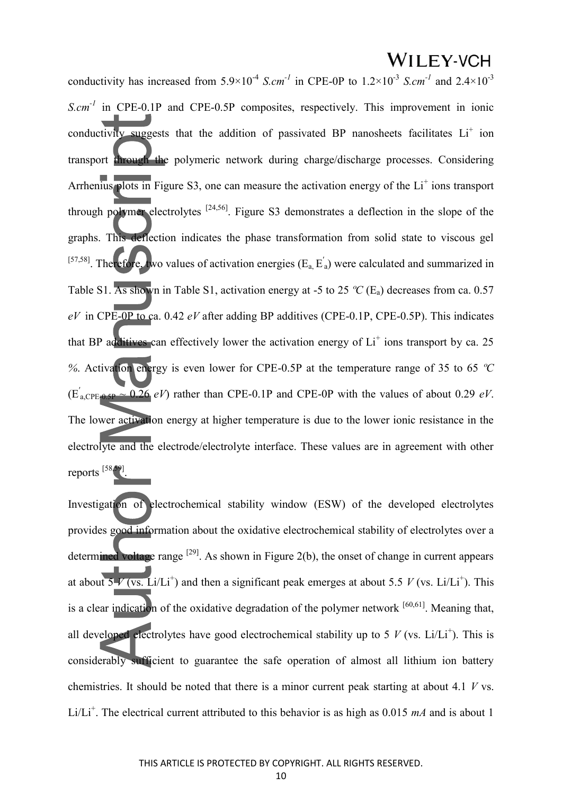conductivity has increased from  $5.9 \times 10^{-4}$  *S.cm<sup>-1</sup>* in CPE-0P to  $1.2 \times 10^{-3}$  *S.cm<sup>-1</sup>* and  $2.4 \times 10^{-3}$ *S.cm<sup>-1</sup>* in CPE-0.1P and CPE-0.5P composites, respectively. This improvement in ionic conductivity suggests that the addition of passivated BP nanosheets facilitates  $Li<sup>+</sup>$  ion transport through the polymeric network during charge/discharge processes. Considering Arrhenius plots in Figure S3, one can measure the activation energy of the  $Li<sup>+</sup>$  ions transport through polymer electrolytes  $[24,56]$ . Figure S3 demonstrates a deflection in the slope of the graphs. This deflection indicates the phase transformation from solid state to viscous gel <sup>[57,58]</sup>. Therefore, two values of activation energies ( $E_a$ ,  $E'_a$ ) were calculated and summarized in Table S1. As shown in Table S1, activation energy at -5 to 25  $\degree$ C (E<sub>a</sub>) decreases from ca. 0.57 *eV* in CPE-0P to ca. 0.42 *eV* after adding BP additives (CPE-0.1P, CPE-0.5P). This indicates that BP additives can effectively lower the activation energy of  $Li<sup>+</sup>$  ions transport by ca. 25 *%*. Activation energy is even lower for CPE-0.5P at the temperature range of 35 to 65 *ºC*  $(E_{a, CPE-0.5P}^{'} \sim 0.26 \ eV)$  rather than CPE-0.1P and CPE-0P with the values of about 0.29 *eV*. The lower activation energy at higher temperature is due to the lower ionic resistance in the electrolyte and the electrode/electrolyte interface. These values are in agreement with other reports [58,59] .

Investigation of electrochemical stability window (ESW) of the developed electrolytes provides good information about the oxidative electrochemical stability of electrolytes over a determined voltage range  $[29]$ . As shown in Figure 2(b), the onset of change in current appears at about  $5\sqrt{V}$  (vs. Li/Li<sup>+</sup>) and then a significant peak emerges at about 5.5 *V* (vs. Li/Li<sup>+</sup>). This is a clear indication of the oxidative degradation of the polymer network  $[60,61]$ . Meaning that, all developed electrolytes have good electrochemical stability up to 5  $V$  (vs. Li/Li<sup>+</sup>). This is considerably sufficient to guarantee the safe operation of almost all lithium ion battery chemistries. It should be noted that there is a minor current peak starting at about 4.1 *V* vs. Li/Li<sup>+</sup>. The electrical current attributed to this behavior is as high as  $0.015$  *mA* and is about 1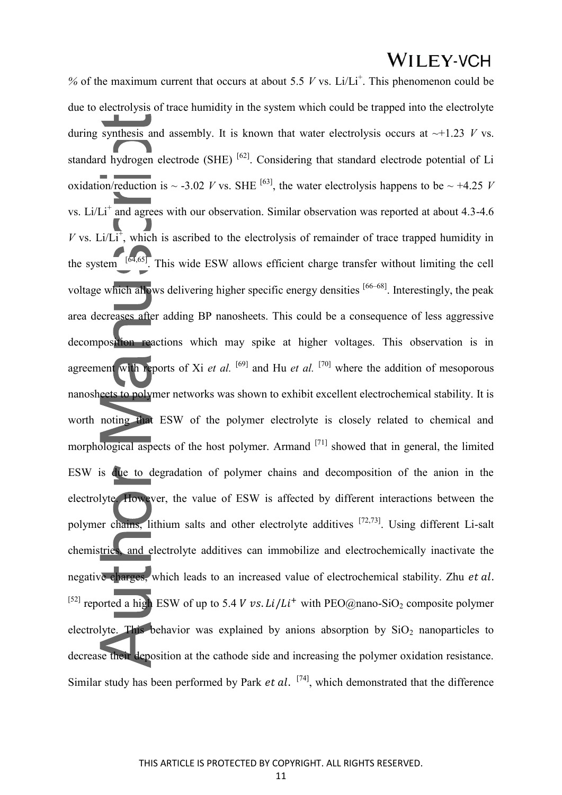% of the maximum current that occurs at about 5.5  $V$  vs. Li/Li<sup>+</sup>. This phenomenon could be due to electrolysis of trace humidity in the system which could be trapped into the electrolyte during synthesis and assembly. It is known that water electrolysis occurs at  $\sim$ +1.23 *V* vs. standard hydrogen electrode (SHE) <sup>[62]</sup>. Considering that standard electrode potential of Li oxidation/reduction is  $\sim$  -3.02 *V* vs. SHE <sup>[63]</sup>, the water electrolysis happens to be  $\sim$  +4.25 *V* vs. Li/ $Li<sup>+</sup>$  and agrees with our observation. Similar observation was reported at about 4.3-4.6 *V* vs. Li/ $\overline{Li^+}$ , which is ascribed to the electrolysis of remainder of trace trapped humidity in the system  $\begin{bmatrix} 64,65 \end{bmatrix}$ . This wide ESW allows efficient charge transfer without limiting the cell voltage which allows delivering higher specific energy densities [66–68]. Interestingly, the peak area decreases after adding BP nanosheets. This could be a consequence of less aggressive decomposition reactions which may spike at higher voltages. This observation is in agreement with reports of Xi *et al.* <sup>[69]</sup> and Hu *et al.* <sup>[70]</sup> where the addition of mesoporous nanosheets to polymer networks was shown to exhibit excellent electrochemical stability. It is worth noting that ESW of the polymer electrolyte is closely related to chemical and morphological aspects of the host polymer. Armand <sup>[71]</sup> showed that in general, the limited ESW is due to degradation of polymer chains and decomposition of the anion in the electrolyte. However, the value of ESW is affected by different interactions between the polymer chains, lithium salts and other electrolyte additives [72,73]. Using different Li-salt chemistries, and electrolyte additives can immobilize and electrochemically inactivate the negative charges, which leads to an increased value of electrochemical stability. Zhu *et al.* [52] reported a high ESW of up to 5.4 *V vs. Li/Li*<sup>+</sup> with PEO@nano-SiO<sub>2</sub> composite polymer electrolyte. This behavior was explained by anions absorption by  $SiO<sub>2</sub>$  nanoparticles to decrease their deposition at the cathode side and increasing the polymer oxidation resistance. Similar study has been performed by Park *et al.*  $[74]$ , which demonstrated that the difference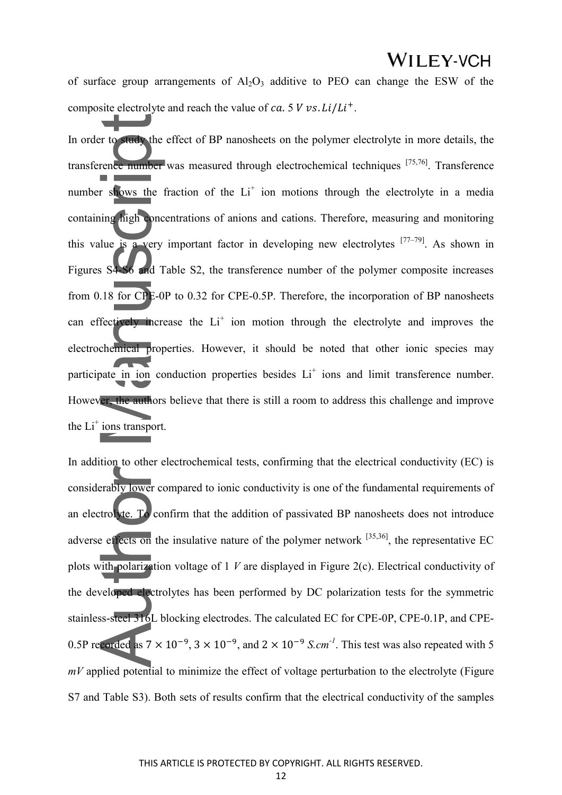of surface group arrangements of  $A<sub>1</sub>, O<sub>3</sub>$  additive to PEO can change the ESW of the composite electrolyte and reach the value of ca. 5  $V$  vs.  $Li/Li^{+}$ .

In order to study the effect of BP nanosheets on the polymer electrolyte in more details, the transference number was measured through electrochemical techniques [75,76]. Transference number shows the fraction of the Li<sup>+</sup> ion motions through the electrolyte in a media containing high concentrations of anions and cations. Therefore, measuring and monitoring this value is a very important factor in developing new electrolytes  $[77-79]$ . As shown in Figures S4-S6 and Table S2, the transference number of the polymer composite increases from 0.18 for CPE-0P to 0.32 for CPE-0.5P. Therefore, the incorporation of BP nanosheets can effectively increase the  $Li<sup>+</sup>$  ion motion through the electrolyte and improves the electrochemical properties. However, it should be noted that other ionic species may participate in ion conduction properties besides Li<sup>+</sup> ions and limit transference number. However, the authors believe that there is still a room to address this challenge and improve the  $Li^+$  ions transport.

In addition to other electrochemical tests, confirming that the electrical conductivity (EC) is considerably lower compared to ionic conductivity is one of the fundamental requirements of an electrolyte. To confirm that the addition of passivated BP nanosheets does not introduce adverse effects on the insulative nature of the polymer network  $[35,36]$ , the representative EC plots with polarization voltage of 1 *V* are displayed in Figure 2(c). Electrical conductivity of the developed electrolytes has been performed by DC polarization tests for the symmetric stainless-steel 316L blocking electrodes. The calculated EC for CPE-0P, CPE-0.1P, and CPE-0.5P recorded as  $7 \times 10^{-9}$ ,  $3 \times 10^{-9}$ , and  $2 \times 10^{-9}$  S.cm<sup>-1</sup>. This test was also repeated with 5 *mV* applied potential to minimize the effect of voltage perturbation to the electrolyte (Figure S7 and Table S3). Both sets of results confirm that the electrical conductivity of the samples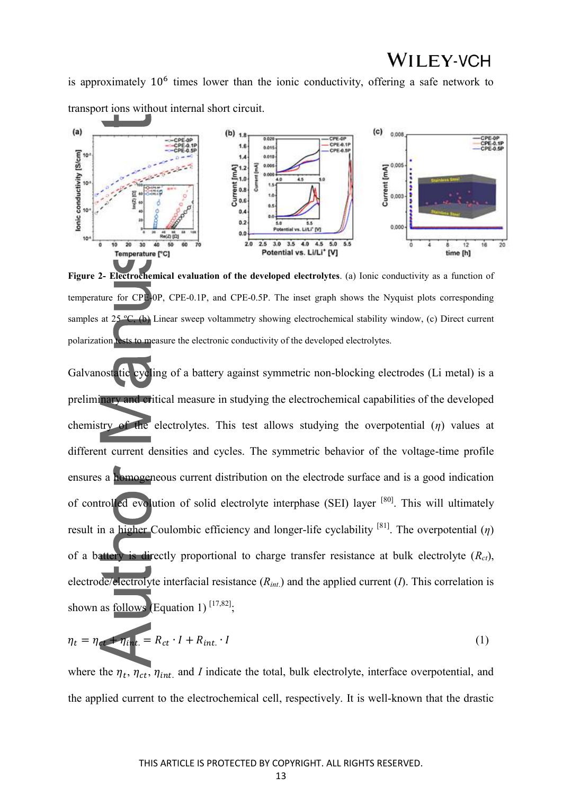is approximately  $10<sup>6</sup>$  times lower than the ionic conductivity, offering a safe network to transport ions without internal short circuit.



**Figure 2- Electrochemical evaluation of the developed electrolytes**. (a) Ionic conductivity as a function of temperature for CPE-0P, CPE-0.1P, and CPE-0.5P. The inset graph shows the Nyquist plots corresponding samples at 25 °C, (b) Linear sweep voltammetry showing electrochemical stability window, (c) Direct current polarization tests to measure the electronic conductivity of the developed electrolytes.

Galvanostatic cycling of a battery against symmetric non-blocking electrodes (Li metal) is a preliminary and critical measure in studying the electrochemical capabilities of the developed chemistry of the electrolytes. This test allows studying the overpotential (*η*) values at different current densities and cycles. The symmetric behavior of the voltage-time profile ensures a homogeneous current distribution on the electrode surface and is a good indication of controlled evolution of solid electrolyte interphase (SEI) layer [80]. This will ultimately result in a higher Coulombic efficiency and longer-life cyclability [81]. The overpotential (*η*) of a battery is directly proportional to charge transfer resistance at bulk electrolyte  $(R<sub>ct</sub>)$ , electrode/electrolyte interfacial resistance (*Rint*.) and the applied current (*I*). This correlation is shown as follows (Equation 1)  $^{[17,82]}$ ;

$$
\eta_t = \eta_{\text{et}} + \eta_{\text{int.}} = R_{ct} \cdot I + R_{\text{int.}} \cdot I \tag{1}
$$

where the  $\eta_t$ ,  $\eta_{ct}$ ,  $\eta_{int}$  and *I* indicate the total, bulk electrolyte, interface overpotential, and the applied current to the electrochemical cell, respectively. It is well-known that the drastic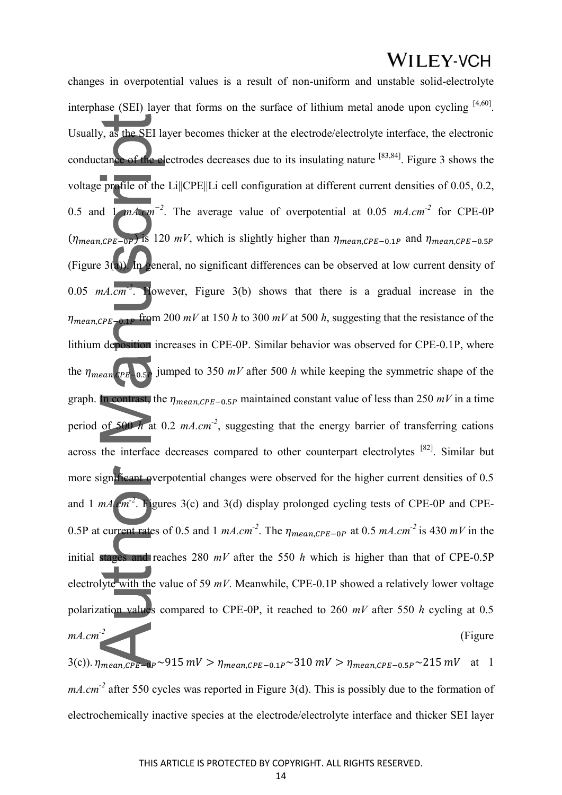changes in overpotential values is a result of non-uniform and unstable solid-electrolyte interphase (SEI) layer that forms on the surface of lithium metal anode upon cycling  $[4,60]$ . Usually, as the SEI layer becomes thicker at the electrode/electrolyte interface, the electronic conductance of the electrodes decreases due to its insulating nature [83,84]. Figure 3 shows the voltage profile of the Li||CPE||Li cell configuration at different current densities of 0.05, 0.2, 0.5 and 1 *mA.cm−2*. The average value of overpotential at 0.05 *mA.cm-2* for CPE-0P  $(\eta_{mean, CPE-0P})$  is 120 *mV*, which is slightly higher than  $\eta_{mean, CPE-0.1P}$  and  $\eta_{mean, CPE-0.5P}$ (Figure 3(a)). In general, no significant differences can be observed at low current density of 0.05 *mA.cm-2*. However, Figure 3(b) shows that there is a gradual increase in the  $\eta_{mean, CPE-0.1P}$  from 200 *mV* at 150 *h* to 300 *mV* at 500 *h*, suggesting that the resistance of the lithium deposition increases in CPE-0P. Similar behavior was observed for CPE-0.1P, where the  $\eta_{mean, CPE-0.5P}$  jumped to 350 *mV* after 500 *h* while keeping the symmetric shape of the graph. In contrast, the  $\eta_{mean, CPE-0.5P}$  maintained constant value of less than 250  $mV$  in a time period of 500 *h* at 0.2 *mA.cm-2*, suggesting that the energy barrier of transferring cations across the interface decreases compared to other counterpart electrolytes [82]. Similar but more significant overpotential changes were observed for the higher current densities of 0.5 and 1 *mA.cm-2*. Figures 3(c) and 3(d) display prolonged cycling tests of CPE-0P and CPE-0.5P at current rates of 0.5 and 1  $mA.cm^{-2}$ . The  $\eta_{mean,CPE-0P}$  at 0.5  $mA.cm^{-2}$  is 430  $mV$  in the initial stages and reaches 280 *mV* after the 550 *h* which is higher than that of CPE-0.5P electrolyte with the value of 59 *mV*. Meanwhile, CPE-0.1P showed a relatively lower voltage polarization values compared to CPE-0P, it reached to 260 *mV* after 550 *h* cycling at 0.5 *mA.cm<sup>-2</sup>* (Figure

3(c)).  $\eta_{mean, CPE-0P} \sim 915 \ mV > \eta_{mean, CPE-0.1P} \sim 310 \ mV > \eta_{mean, CPE-0.5P} \sim 215 \ mV$  at 1 *mA.cm*<sup>-2</sup> after 550 cycles was reported in Figure 3(d). This is possibly due to the formation of electrochemically inactive species at the electrode/electrolyte interface and thicker SEI layer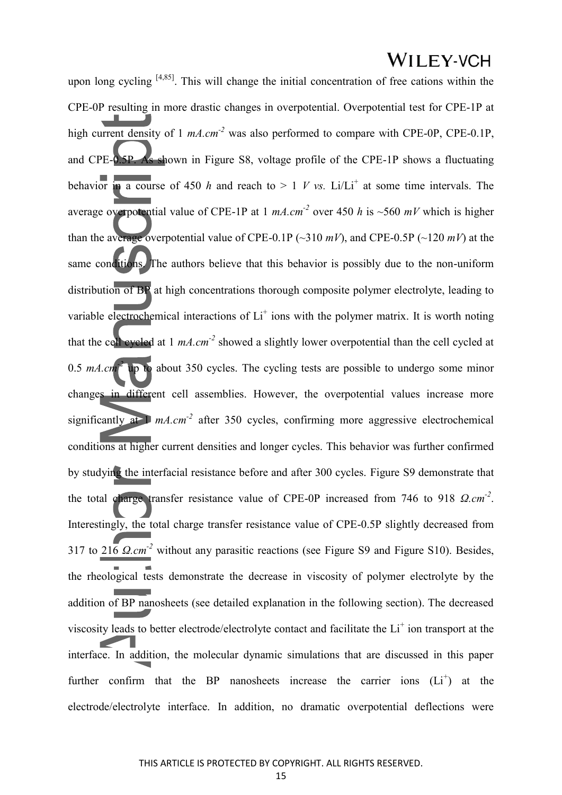upon long cycling  $[4,85]$ . This will change the initial concentration of free cations within the CPE-0P resulting in more drastic changes in overpotential. Overpotential test for CPE-1P at high current density of 1  $mA.cm<sup>-2</sup>$  was also performed to compare with CPE-0P, CPE-0.1P, and CPE-0.5P. As shown in Figure S8, voltage profile of the CPE-1P shows a fluctuating behavior in a course of 450 *h* and reach to  $> 1$  *V vs.* Li/Li<sup>+</sup> at some time intervals. The average overpotential value of CPE-1P at 1 *mA.cm-2* over 450 *h* is ~560 *mV* which is higher than the average overpotential value of CPE-0.1P ( $\sim$ 310 *mV*), and CPE-0.5P ( $\sim$ 120 *mV*) at the same conditions. The authors believe that this behavior is possibly due to the non-uniform distribution of BP at high concentrations thorough composite polymer electrolyte, leading to variable electrochemical interactions of  $Li<sup>+</sup>$  ions with the polymer matrix. It is worth noting that the cell cycled at 1 *mA.cm-2* showed a slightly lower overpotential than the cell cycled at 0.5 *mA.cm-2* up to about 350 cycles. The cycling tests are possible to undergo some minor changes in different cell assemblies. However, the overpotential values increase more significantly at  $1 \text{ mA}$ ,  $cm<sup>2</sup>$  after 350 cycles, confirming more aggressive electrochemical conditions at higher current densities and longer cycles. This behavior was further confirmed by studying the interfacial resistance before and after 300 cycles. Figure S9 demonstrate that the total charge transfer resistance value of CPE-0P increased from 746 to 918 *Ω.cm-2* . Interestingly, the total charge transfer resistance value of CPE-0.5P slightly decreased from 317 to 216 *Ω.cm-2* without any parasitic reactions (see Figure S9 and Figure S10). Besides, the rheological tests demonstrate the decrease in viscosity of polymer electrolyte by the addition of BP nanosheets (see detailed explanation in the following section). The decreased viscosity leads to better electrode/electrolyte contact and facilitate the Li<sup>+</sup> ion transport at the interface. In addition, the molecular dynamic simulations that are discussed in this paper further confirm that the BP nanosheets increase the carrier ions  $(L_i^+)$  at the electrode/electrolyte interface. In addition, no dramatic overpotential deflections were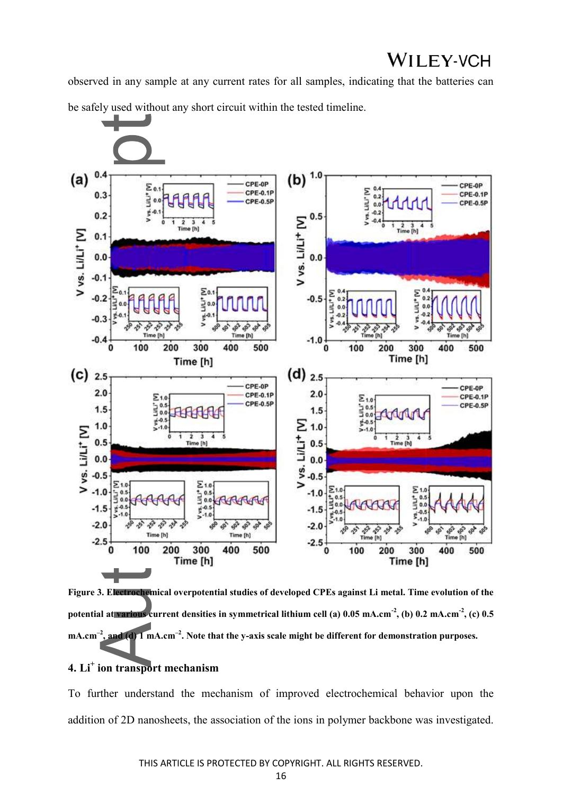observed in any sample at any current rates for all samples, indicating that the batteries can be safely used without any short circuit within the tested timeline.



**Figure 3. Electrochemical overpotential studies of developed CPEs against Li metal. Time evolution of the potential at various current densities in symmetrical lithium cell (a) 0.05 mA.cm-2, (b) 0.2 mA.cm-2, (c) 0.5**   $mA.cm^{-2}$ **, and (d) 1 mA.cm<sup>-2</sup>. Note that the y-axis scale might be different for demonstration purposes.** 

#### **4. Li<sup>+</sup> ion transport mechanism**

To further understand the mechanism of improved electrochemical behavior upon the addition of 2D nanosheets, the association of the ions in polymer backbone was investigated.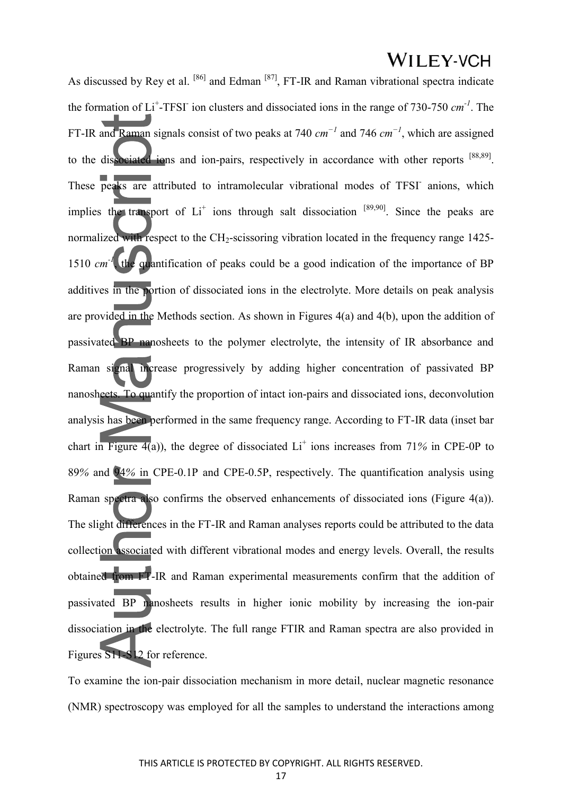As discussed by Rey et al. <sup>[86]</sup> and Edman <sup>[87]</sup>, FT-IR and Raman vibrational spectra indicate the formation of Li<sup>+</sup>-TFSI ion clusters and dissociated ions in the range of 730-750 *cm*<sup>-1</sup>. The FT-IR and Raman signals consist of two peaks at 740 *cm −1* and 746 *cm −1*, which are assigned to the dissociated ions and ion-pairs, respectively in accordance with other reports [88,89]. These peaks are attributed to intramolecular vibrational modes of TFSI anions, which implies the transport of  $Li<sup>+</sup>$  ions through salt dissociation  $[89,90]$ . Since the peaks are normalized with respect to the CH<sub>2</sub>-scissoring vibration located in the frequency range 1425-1510 *cm*<sup>-1</sup>, the quantification of peaks could be a good indication of the importance of BP additives in the portion of dissociated ions in the electrolyte. More details on peak analysis are provided in the Methods section. As shown in Figures 4(a) and 4(b), upon the addition of passivated BP nanosheets to the polymer electrolyte, the intensity of IR absorbance and Raman signal increase progressively by adding higher concentration of passivated BP nanosheets. To quantify the proportion of intact ion-pairs and dissociated ions, deconvolution analysis has been performed in the same frequency range. According to FT-IR data (inset bar chart in Figure  $4(a)$ ), the degree of dissociated Li<sup>+</sup> ions increases from 71% in CPE-0P to 89*%* and 94*%* in CPE-0.1P and CPE-0.5P, respectively. The quantification analysis using Raman spectra also confirms the observed enhancements of dissociated ions (Figure 4(a)). The slight differences in the FT-IR and Raman analyses reports could be attributed to the data collection associated with different vibrational modes and energy levels. Overall, the results obtained from FT-IR and Raman experimental measurements confirm that the addition of passivated BP nanosheets results in higher ionic mobility by increasing the ion-pair dissociation in the electrolyte. The full range FTIR and Raman spectra are also provided in Figures S11-S12 for reference.

To examine the ion-pair dissociation mechanism in more detail, nuclear magnetic resonance (NMR) spectroscopy was employed for all the samples to understand the interactions among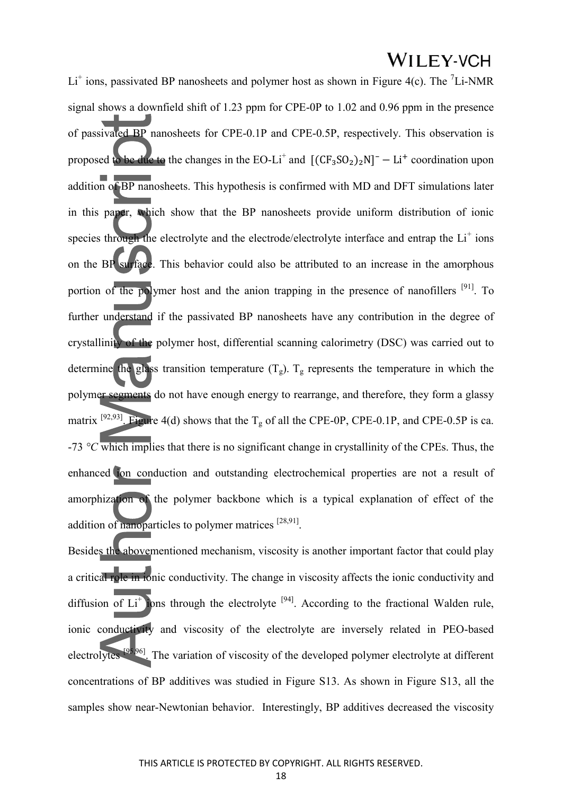$Li<sup>+</sup>$  ions, passivated BP nanosheets and polymer host as shown in Figure 4(c). The  $<sup>7</sup>Li-NMR$ </sup> signal shows a downfield shift of 1.23 ppm for CPE-0P to 1.02 and 0.96 ppm in the presence of passivated BP nanosheets for CPE-0.1P and CPE-0.5P, respectively. This observation is proposed to be due to the changes in the EO-Li<sup>+</sup> and  $[(CF_3SO_2)_2N]^-$  - Li<sup>+</sup> coordination upon addition of BP nanosheets. This hypothesis is confirmed with MD and DFT simulations later in this paper, which show that the BP nanosheets provide uniform distribution of ionic species through the electrolyte and the electrode/electrolyte interface and entrap the Li<sup>+</sup> ions on the BP surface. This behavior could also be attributed to an increase in the amorphous portion of the polymer host and the anion trapping in the presence of nanofillers  $[91]$ . To further understand if the passivated BP nanosheets have any contribution in the degree of crystallinity of the polymer host, differential scanning calorimetry (DSC) was carried out to determine the glass transition temperature  $(T_g)$ .  $T_g$  represents the temperature in which the polymer segments do not have enough energy to rearrange, and therefore, they form a glassy matrix <sup>[92,93]</sup>. Figure 4(d) shows that the T<sub>g</sub> of all the CPE-0P, CPE-0.1P, and CPE-0.5P is ca. -73 *°C* which implies that there is no significant change in crystallinity of the CPEs. Thus, the enhanced ion conduction and outstanding electrochemical properties are not a result of amorphization of the polymer backbone which is a typical explanation of effect of the addition of nanoparticles to polymer matrices<sup>[28,91]</sup>.

Besides the abovementioned mechanism, viscosity is another important factor that could play a critical role in ionic conductivity. The change in viscosity affects the ionic conductivity and diffusion of  $Li<sup>+</sup>$  lons through the electrolyte <sup>[94]</sup>. According to the fractional Walden rule, ionic conductivity and viscosity of the electrolyte are inversely related in PEO-based electrolytes [95,96]. The variation of viscosity of the developed polymer electrolyte at different concentrations of BP additives was studied in Figure S13. As shown in Figure S13, all the samples show near-Newtonian behavior. Interestingly, BP additives decreased the viscosity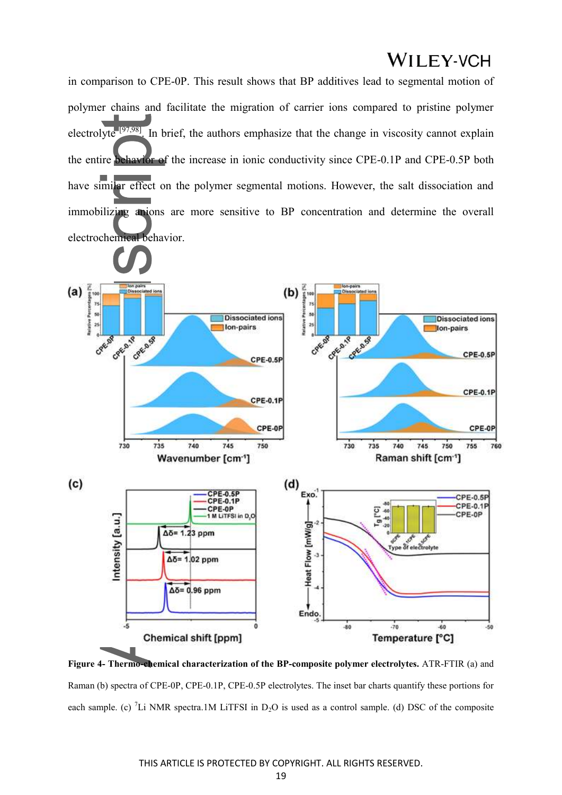in comparison to CPE-0P. This result shows that BP additives lead to segmental motion of polymer chains and facilitate the migration of carrier ions compared to pristine polymer electrolyte<sup>[97,98]</sup>. In brief, the authors emphasize that the change in viscosity cannot explain the entire behavior of the increase in ionic conductivity since CPE-0.1P and CPE-0.5P both have similar effect on the polymer segmental motions. However, the salt dissociation and immobilizing anions are more sensitive to BP concentration and determine the overall electrochemical behavior.



**Figure 4- Thermo-chemical characterization of the BP-composite polymer electrolytes.** ATR-FTIR (a) and Raman (b) spectra of CPE-0P, CPE-0.1P, CPE-0.5P electrolytes. The inset bar charts quantify these portions for each sample. (c) <sup>7</sup>Li NMR spectra.1M LiTFSI in D<sub>2</sub>O is used as a control sample. (d) DSC of the composite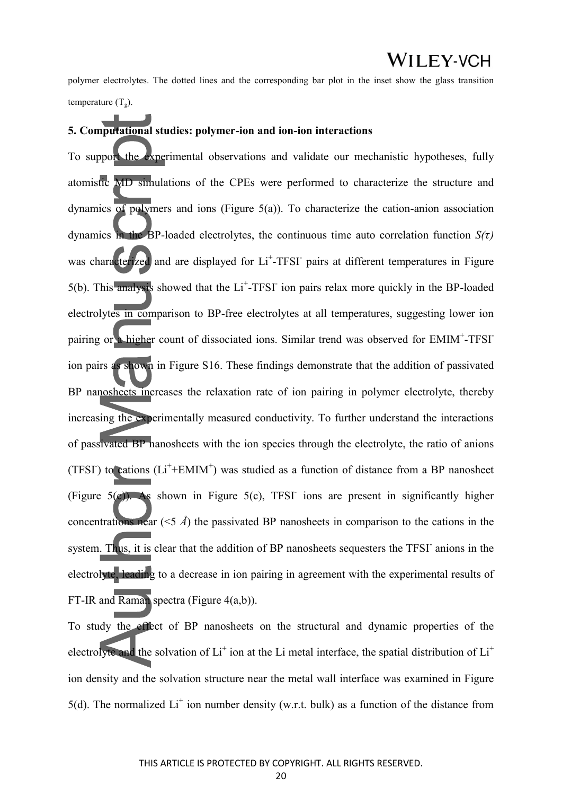polymer electrolytes. The dotted lines and the corresponding bar plot in the inset show the glass transition temperature  $(T_g)$ .

#### **5. Computational studies: polymer-ion and ion-ion interactions**

To support the experimental observations and validate our mechanistic hypotheses, fully atomistic MD simulations of the CPEs were performed to characterize the structure and dynamics of polymers and ions (Figure 5(a)). To characterize the cation-anion association dynamics in the BP-loaded electrolytes, the continuous time auto correlation function  $S(\tau)$ was characterized and are displayed for Li<sup>+</sup>-TFSI pairs at different temperatures in Figure  $5(b)$ . This analysis showed that the Li<sup>+</sup>-TFSI ion pairs relax more quickly in the BP-loaded electrolytes in comparison to BP-free electrolytes at all temperatures, suggesting lower ion pairing or a higher count of dissociated ions. Similar trend was observed for EMIM<sup>+</sup>-TFSI ion pairs as shown in Figure S16. These findings demonstrate that the addition of passivated BP nanosheets increases the relaxation rate of ion pairing in polymer electrolyte, thereby increasing the experimentally measured conductivity. To further understand the interactions of passivated BP nanosheets with the ion species through the electrolyte, the ratio of anions (TFSI) to cations  $(L<sup>+</sup>+EMIM<sup>+</sup>)$  was studied as a function of distance from a BP nanosheet (Figure  $5(c)$ ). As shown in Figure  $5(c)$ , TFSI ions are present in significantly higher concentrations near (<5 *Å*) the passivated BP nanosheets in comparison to the cations in the system. Thus, it is clear that the addition of BP nanosheets sequesters the TFSI anions in the electrolyte, leading to a decrease in ion pairing in agreement with the experimental results of FT-IR and Raman spectra (Figure 4(a,b)).

To study the effect of BP nanosheets on the structural and dynamic properties of the electrolyte and the solvation of Li<sup>+</sup> ion at the Li metal interface, the spatial distribution of Li<sup>+</sup> ion density and the solvation structure near the metal wall interface was examined in Figure 5(d). The normalized  $Li<sup>+</sup>$  ion number density (w.r.t. bulk) as a function of the distance from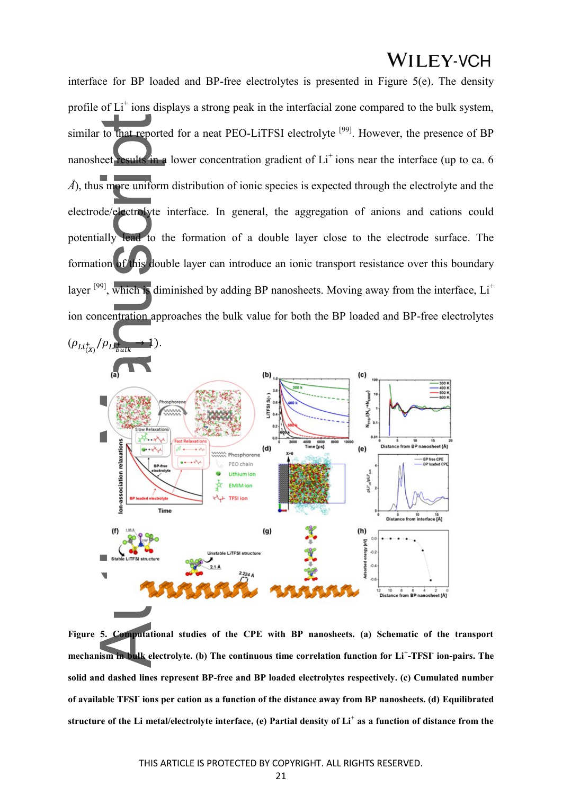interface for BP loaded and BP-free electrolytes is presented in Figure 5(e). The density profile of Li<sup>+</sup> ions displays a strong peak in the interfacial zone compared to the bulk system, similar to that reported for a neat PEO-LiTFSI electrolyte<sup>[99]</sup>. However, the presence of BP nanosheet results in a lower concentration gradient of Li<sup>+</sup> ions near the interface (up to ca. 6 *Å*), thus more uniform distribution of ionic species is expected through the electrolyte and the electrode/electrolyte interface. In general, the aggregation of anions and cations could potentially lead to the formation of a double layer close to the electrode surface. The formation of this double layer can introduce an ionic transport resistance over this boundary layer  $[99]$ , which is diminished by adding BP nanosheets. Moving away from the interface,  $Li^+$ ion concentration approaches the bulk value for both the BP loaded and BP-free electrolytes



**Figure 5. Computational studies of the CPE with BP nanosheets. (a) Schematic of the transport mechanism in bulk electrolyte. (b) The continuous time correlation function for Li<sup>+</sup> -TFSI- ion-pairs. The solid and dashed lines represent BP-free and BP loaded electrolytes respectively. (c) Cumulated number of available TFSI- ions per cation as a function of the distance away from BP nanosheets. (d) Equilibrated structure of the Li metal/electrolyte interface, (e) Partial density of Li<sup>+</sup> as a function of distance from the**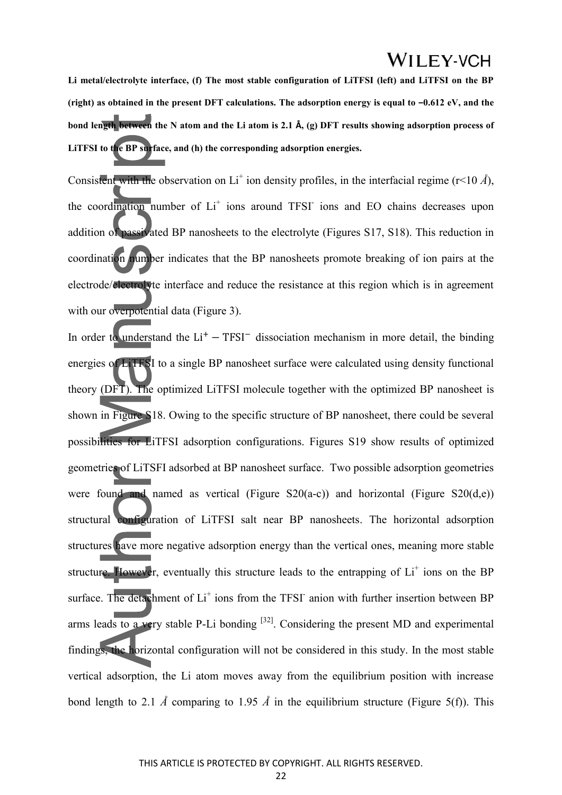**Li metal/electrolyte interface, (f) The most stable configuration of LiTFSI (left) and LiTFSI on the BP**  (right) as obtained in the present DFT calculations. The adsorption energy is equal to  $-0.612$  eV, and the **bond length between the N atom and the Li atom is 2.1 Å, (g) DFT results showing adsorption process of LiTFSI to the BP surface, and (h) the corresponding adsorption energies.**

Consistent with the observation on  $Li^+$  ion density profiles, in the interfacial regime ( $r$ <10  $\hat{A}$ ), the coordination number of Li<sup>+</sup> ions around TFSI ions and EO chains decreases upon addition of passivated BP nanosheets to the electrolyte (Figures S17, S18). This reduction in coordination number indicates that the BP nanosheets promote breaking of ion pairs at the electrode/electrolyte interface and reduce the resistance at this region which is in agreement with our overpotential data (Figure 3).

In order to understand the  $Li<sup>+</sup> - TFSI<sup>-</sup>$  dissociation mechanism in more detail, the binding energies of LiTFSI to a single BP nanosheet surface were calculated using density functional theory (DFT). The optimized LiTFSI molecule together with the optimized BP nanosheet is shown in Figure S18. Owing to the specific structure of BP nanosheet, there could be several possibilities for LiTFSI adsorption configurations. Figures S19 show results of optimized geometries of LiTSFI adsorbed at BP nanosheet surface. Two possible adsorption geometries were found and named as vertical (Figure S20(a-c)) and horizontal (Figure S20(d,e)) structural configuration of LiTFSI salt near BP nanosheets. The horizontal adsorption structures have more negative adsorption energy than the vertical ones, meaning more stable structure. However, eventually this structure leads to the entrapping of  $Li<sup>+</sup>$  ions on the BP surface. The detachment of Li<sup>+</sup> ions from the TFSI<sup>-</sup> anion with further insertion between BP arms leads to a very stable P-Li bonding  $[32]$ . Considering the present MD and experimental findings, the horizontal configuration will not be considered in this study. In the most stable vertical adsorption, the Li atom moves away from the equilibrium position with increase bond length to 2.1  $\AA$  comparing to 1.95  $\AA$  in the equilibrium structure (Figure 5(f)). This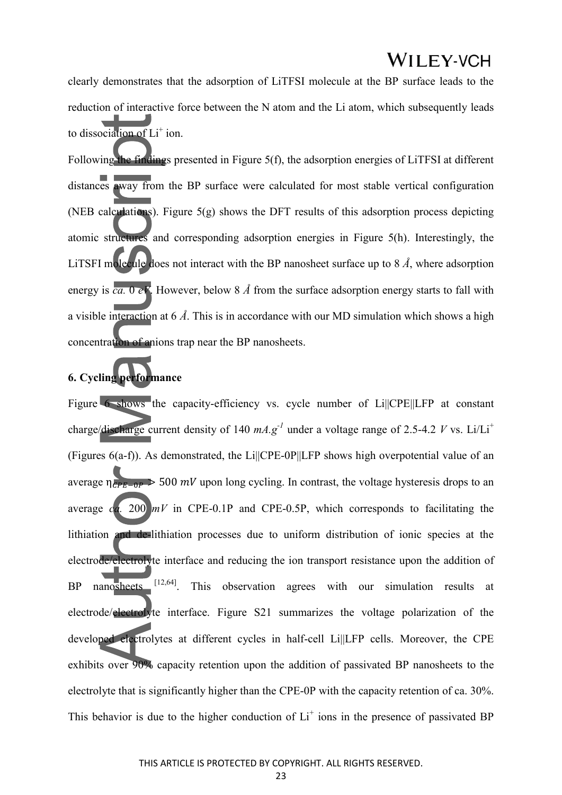clearly demonstrates that the adsorption of LiTFSI molecule at the BP surface leads to the reduction of interactive force between the N atom and the Li atom, which subsequently leads to dissociation of  $Li^+$  ion.

Following the findings presented in Figure 5(f), the adsorption energies of LiTFSI at different distances away from the BP surface were calculated for most stable vertical configuration (NEB calculations). Figure 5(g) shows the DFT results of this adsorption process depicting atomic structures and corresponding adsorption energies in Figure 5(h). Interestingly, the LiTSFI molecule does not interact with the BP nanosheet surface up to 8 *Å*, where adsorption energy is *ca.* 0 *eV*. However, below 8 *Å* from the surface adsorption energy starts to fall with a visible interaction at 6 *Å*. This is in accordance with our MD simulation which shows a high concentration of anions trap near the BP nanosheets.

#### **6. Cycling performance**

Figure 6 shows the capacity-efficiency vs. cycle number of Li||CPE||LFP at constant charge/discharge current density of 140  $mA$ ,  $g^{-1}$  under a voltage range of 2.5-4.2 *V* vs. Li/Li<sup>+</sup> (Figures 6(a-f)). As demonstrated, the Li||CPE-0P||LFP shows high overpotential value of an average  $n_{\text{per}-\text{one}} > 500 \text{ mV}$  upon long cycling. In contrast, the voltage hysteresis drops to an average  $ca$ . 200  $mV$  in CPE-0.1P and CPE-0.5P, which corresponds to facilitating the lithiation and de-lithiation processes due to uniform distribution of ionic species at the electrode/electrolyte interface and reducing the ion transport resistance upon the addition of BP nanosheets [12,64]. This observation agrees with our simulation results at electrode/electrolyte interface. Figure S21 summarizes the voltage polarization of the developed electrolytes at different cycles in half-cell Li||LFP cells. Moreover, the CPE exhibits over 90% capacity retention upon the addition of passivated BP nanosheets to the electrolyte that is significantly higher than the CPE-0P with the capacity retention of ca. 30%. This behavior is due to the higher conduction of  $Li<sup>+</sup>$  ions in the presence of passivated BP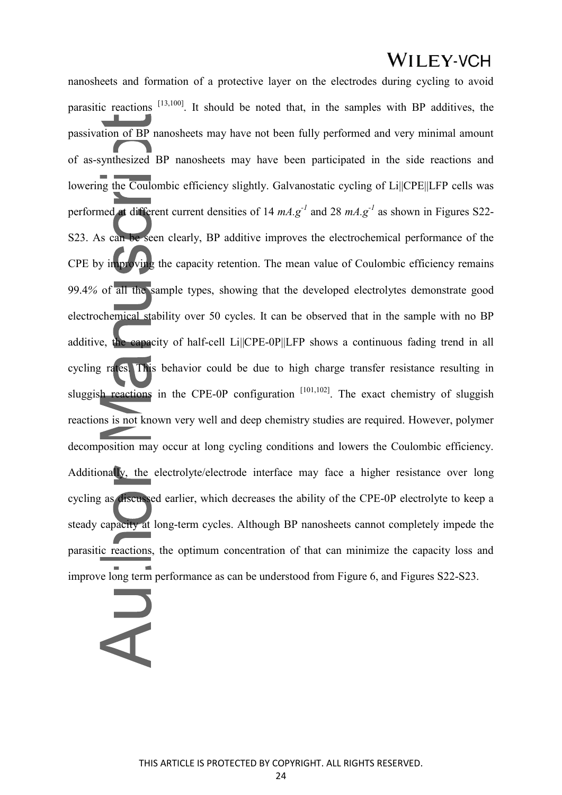nanosheets and formation of a protective layer on the electrodes during cycling to avoid parasitic reactions [13,100]. It should be noted that, in the samples with BP additives, the passivation of BP nanosheets may have not been fully performed and very minimal amount of as-synthesized BP nanosheets may have been participated in the side reactions and lowering the Coulombic efficiency slightly. Galvanostatic cycling of Li||CPE||LFP cells was performed at different current densities of 14  $mA$ .g<sup>-1</sup> and 28  $mA$ .g<sup>-1</sup> as shown in Figures S22-S23. As can be seen clearly, BP additive improves the electrochemical performance of the CPE by improving the capacity retention. The mean value of Coulombic efficiency remains 99.4*%* of all the sample types, showing that the developed electrolytes demonstrate good electrochemical stability over 50 cycles. It can be observed that in the sample with no BP additive, the capacity of half-cell Li||CPE-0P||LFP shows a continuous fading trend in all cycling rates. This behavior could be due to high charge transfer resistance resulting in sluggish reactions in the CPE-0P configuration  $[101,102]$ . The exact chemistry of sluggish reactions is not known very well and deep chemistry studies are required. However, polymer decomposition may occur at long cycling conditions and lowers the Coulombic efficiency. Additionally, the electrolyte/electrode interface may face a higher resistance over long cycling as discussed earlier, which decreases the ability of the CPE-0P electrolyte to keep a steady capacity at long-term cycles. Although BP nanosheets cannot completely impede the parasitic reactions, the optimum concentration of that can minimize the capacity loss and improve long term performance as can be understood from Figure 6, and Figures S22-S23.

### $\bar{\mathbf{d}}$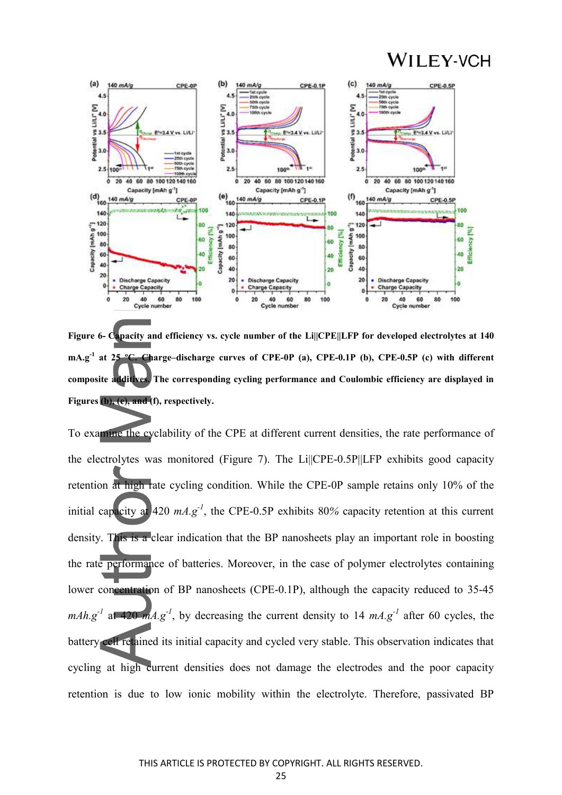

**Figure 6- Capacity and efficiency vs. cycle number of the Li||CPE||LFP for developed electrolytes at 140 mA.g-1 at 25 ºC. Charge–discharge curves of CPE-0P (a), CPE-0.1P (b), CPE-0.5P (c) with different composite additives. The corresponding cycling performance and Coulombic efficiency are displayed in Figures (b), (e), and (f), respectively.**

To examine the cyclability of the CPE at different current densities, the rate performance of the electrolytes was monitored (Figure 7). The Li||CPE-0.5P||LFP exhibits good capacity retention at high rate cycling condition. While the CPE-0P sample retains only 10% of the initial capacity at 420 *mA.g-1*, the CPE-0.5P exhibits 80*%* capacity retention at this current density. This is a clear indication that the BP nanosheets play an important role in boosting the rate performance of batteries. Moreover, in the case of polymer electrolytes containing lower concentration of BP nanosheets (CPE-0.1P), although the capacity reduced to 35-45 *mAh.g<sup>-1</sup>* at 420 *mA.g<sup>-1</sup>*, by decreasing the current density to 14 *mA.g<sup>-1</sup>* after 60 cycles, the battery cell retained its initial capacity and cycled very stable. This observation indicates that cycling at high current densities does not damage the electrodes and the poor capacity retention is due to low ionic mobility within the electrolyte. Therefore, passivated BP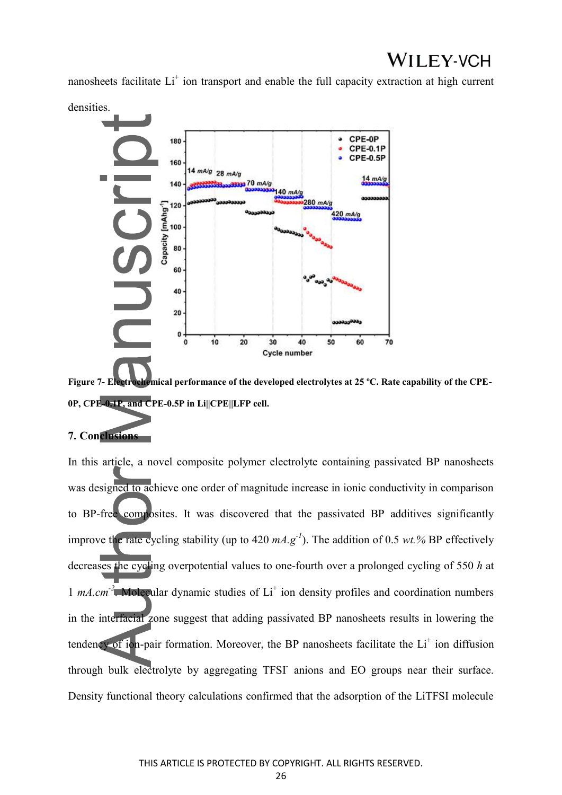nanosheets facilitate Li<sup>+</sup> ion transport and enable the full capacity extraction at high current

densities.



**Figure 7- Electrochemical performance of the developed electrolytes at 25 ºC. Rate capability of the CPE-0P, CPE-0.1P, and CPE-0.5P in Li||CPE||LFP cell.**

#### **7. Conclusions**

In this article, a novel composite polymer electrolyte containing passivated BP nanosheets was designed to achieve one order of magnitude increase in ionic conductivity in comparison to BP-free composites. It was discovered that the passivated BP additives significantly improve the rate cycling stability (up to  $420 \text{ mA} \text{ g}^{-1}$ ). The addition of 0.5 *wt.%* BP effectively decreases the cycling overpotential values to one-fourth over a prolonged cycling of 550 *h* at 1 *mA.cm<sup>-2</sup>*. Molecular dynamic studies of Li<sup>+</sup> ion density profiles and coordination numbers in the interfacial zone suggest that adding passivated BP nanosheets results in lowering the tendency of ion-pair formation. Moreover, the BP nanosheets facilitate the Li<sup>+</sup> ion diffusion through bulk electrolyte by aggregating TFSI- anions and EO groups near their surface. Density functional theory calculations confirmed that the adsorption of the LiTFSI molecule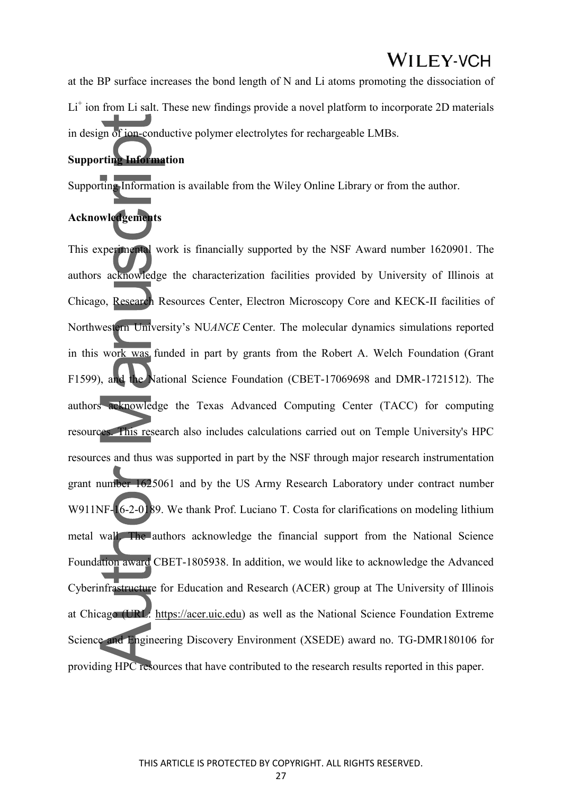at the BP surface increases the bond length of N and Li atoms promoting the dissociation of Li<sup>+</sup> ion from Li salt. These new findings provide a novel platform to incorporate 2D materials in design of ion-conductive polymer electrolytes for rechargeable LMBs.

#### **Supporting Information**

Supporting Information is available from the Wiley Online Library or from the author.

#### **Acknowledgements**

This experimental work is financially supported by the NSF Award number 1620901. The authors acknowledge the characterization facilities provided by University of Illinois at Chicago, Research Resources Center, Electron Microscopy Core and KECK-II facilities of Northwestern University's NU*ANCE* Center. The molecular dynamics simulations reported in this work was funded in part by grants from the Robert A. Welch Foundation (Grant F1599), and the National Science Foundation (CBET-17069698 and DMR-1721512). The authors acknowledge the Texas Advanced Computing Center (TACC) for computing resources. This research also includes calculations carried out on Temple University's HPC resources and thus was supported in part by the NSF through major research instrumentation grant number 1625061 and by the US Army Research Laboratory under contract number W911NF-16-2-0189. We thank Prof. Luciano T. Costa for clarifications on modeling lithium metal wall. The authors acknowledge the financial support from the National Science Foundation award CBET-1805938. In addition, we would like to acknowledge the Advanced Cyberinfrastructure for Education and Research (ACER) group at The University of Illinois at Chicago (URL: https://acer.uic.edu) as well as the National Science Foundation Extreme Science and Engineering Discovery Environment (XSEDE) award no. TG-DMR180106 for providing HPC resources that have contributed to the research results reported in this paper.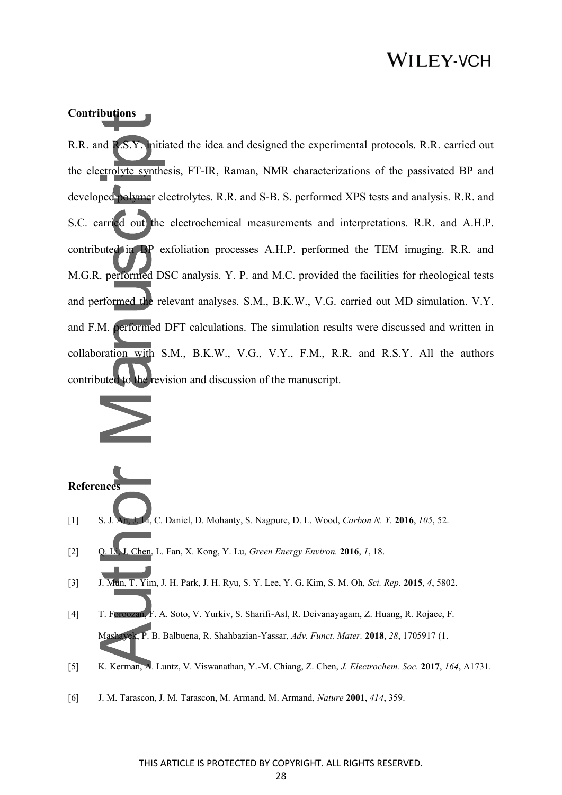#### **Contributions**

R.R. and R.S.Y. initiated the idea and designed the experimental protocols. R.R. carried out the electrolyte synthesis, FT-IR, Raman, NMR characterizations of the passivated BP and developed polymer electrolytes. R.R. and S-B. S. performed XPS tests and analysis. R.R. and S.C. carried out the electrochemical measurements and interpretations. R.R. and A.H.P. contributed in BP exfoliation processes A.H.P. performed the TEM imaging. R.R. and M.G.R. performed DSC analysis. Y. P. and M.C. provided the facilities for rheological tests and performed the relevant analyses. S.M., B.K.W., V.G. carried out MD simulation. V.Y. and F.M. performed DFT calculations. The simulation results were discussed and written in collaboration with S.M., B.K.W., V.G., V.Y., F.M., R.R. and R.S.Y. All the authors contributed to the revision and discussion of the manuscript.



#### **Reference**

- [1] S. J. An, J. Li, C. Daniel, D. Mohanty, S. Nagpure, D. L. Wood, *Carbon N. Y.* **2016**, *105*, 52.
- [2] Q. Li, J. Chen, L. Fan, X. Kong, Y. Lu, *Green Energy Environ.* **2016**, *1*, 18.
- [3] J. Mun, T. Yim, J. H. Park, J. H. Ryu, S. Y. Lee, Y. G. Kim, S. M. Oh, *Sci. Rep.* **2015**, *4*, 5802.
- [4] T. Foroozan, F. A. Soto, V. Yurkiv, S. Sharifi-Asl, R. Deivanayagam, Z. Huang, R. Rojaee, F. Mashayek, P. B. Balbuena, R. Shahbazian-Yassar, *Adv. Funct. Mater.* **2018**, *28*, 1705917 (1.
- [5] K. Kerman, A. Luntz, V. Viswanathan, Y.-M. Chiang, Z. Chen, *J. Electrochem. Soc.* **2017**, *164*, A1731.
- [6] J. M. Tarascon, J. M. Tarascon, M. Armand, M. Armand, *Nature* **2001**, *414*, 359.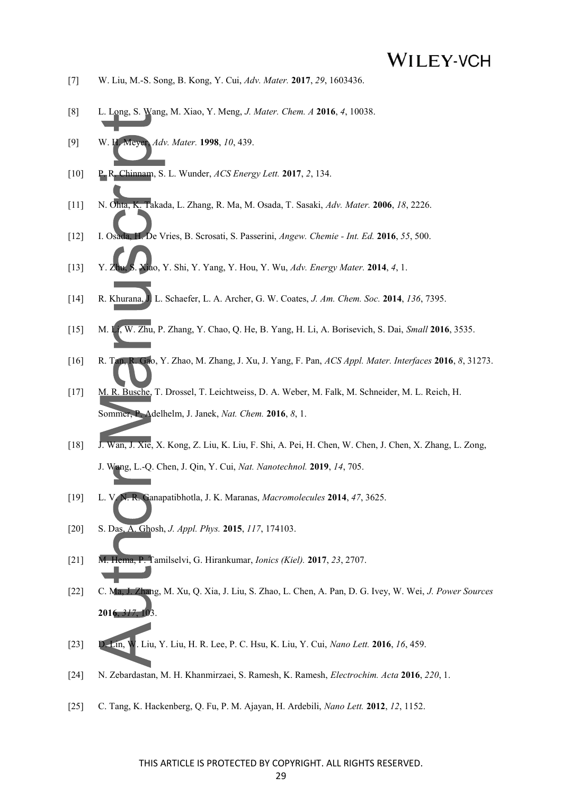- [7] W. Liu, M.-S. Song, B. Kong, Y. Cui, *Adv. Mater.* **2017**, *29*, 1603436.
- [8] L. Long, S. Wang, M. Xiao, Y. Meng, *J. Mater. Chem. A* **2016**, *4*, 10038.
- [9] W. H. Meyer, *Adv. Mater.* **1998**, *10*, 439.
- [10] P. R. Chinnam, S. L. Wunder, *ACS Energy Lett.* **2017**, *2*, 134.
- [11] N. Ohta, K. Takada, L. Zhang, R. Ma, M. Osada, T. Sasaki, *Adv. Mater.* **2006**, *18*, 2226.
- [12] I. Osada, H. De Vries, B. Scrosati, S. Passerini, *Angew. Chemie Int. Ed.* **2016**, *55*, 500.
- [13] Y. Zhu, S. Xiao, Y. Shi, Y. Yang, Y. Hou, Y. Wu, *Adv. Energy Mater.* **2014**, *4*, 1.
- [14] R. Khurana, J. L. Schaefer, L. A. Archer, G. W. Coates, *J. Am. Chem. Soc.* **2014**, *136*, 7395.
- [15] M. Li, W. Zhu, P. Zhang, Y. Chao, Q. He, B. Yang, H. Li, A. Borisevich, S. Dai, *Small* **2016**, 3535.
- [16] R. Tan, R. Gao, Y. Zhao, M. Zhang, J. Xu, J. Yang, F. Pan, *ACS Appl. Mater. Interfaces* **2016**, *8*, 31273.
- [17] M. R. Busche, T. Drossel, T. Leichtweiss, D. A. Weber, M. Falk, M. Schneider, M. L. Reich, H. Sommer, P. Adelhelm, J. Janek, *Nat. Chem.* **2016**, *8*, 1.
- [18] J. Wan, J. Xie, X. Kong, Z. Liu, K. Liu, F. Shi, A. Pei, H. Chen, W. Chen, J. Chen, X. Zhang, L. Zong, J. Wang, L.-Q. Chen, J. Qin, Y. Cui, *Nat. Nanotechnol.* **2019**, *14*, 705.
- [19] L. V. N. R. Ganapatibhotla, J. K. Maranas, *Macromolecules* **2014**, *47*, 3625.
- [20] S. Das, A. Ghosh, *J. Appl. Phys.* **2015**, *117*, 174103.
- [21] M. Hema, P. Tamilselvi, G. Hirankumar, *Ionics (Kiel).* **2017**, *23*, 2707.
- [22] C. Ma, J. Zhang, M. Xu, Q. Xia, J. Liu, S. Zhao, L. Chen, A. Pan, D. G. Ivey, W. Wei, *J. Power Sources* **2016**, *317*, 103.
- [23] D. Lin, W. Liu, Y. Liu, H. R. Lee, P. C. Hsu, K. Liu, Y. Cui, *Nano Lett.* **2016**, *16*, 459.
- [24] N. Zebardastan, M. H. Khanmirzaei, S. Ramesh, K. Ramesh, *Electrochim. Acta* **2016**, *220*, 1.
- [25] C. Tang, K. Hackenberg, Q. Fu, P. M. Ajayan, H. Ardebili, *Nano Lett.* **2012**, *12*, 1152.

#### THIS ARTICLE IS PROTECTED BY COPYRIGHT. ALL RIGHTS RESERVED.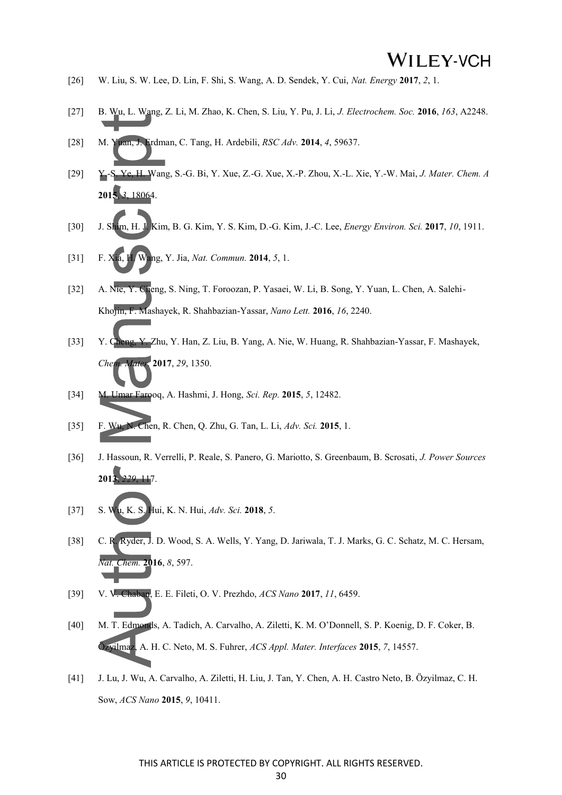- [26] W. Liu, S. W. Lee, D. Lin, F. Shi, S. Wang, A. D. Sendek, Y. Cui, *Nat. Energy* **2017**, *2*, 1.
- [27] B. Wu, L. Wang, Z. Li, M. Zhao, K. Chen, S. Liu, Y. Pu, J. Li, *J. Electrochem. Soc.* **2016**, *163*, A2248.
- [28] M. Yuan, J. Erdman, C. Tang, H. Ardebili, *RSC Adv.* **2014**, *4*, 59637.
- [29] Y.-S. Ye, H. Wang, S.-G. Bi, Y. Xue, Z.-G. Xue, X.-P. Zhou, X.-L. Xie, Y.-W. Mai, *J. Mater. Chem. A* **2015**, *3*, 18064.
- [30] J. Shim, H. J. Kim, B. G. Kim, Y. S. Kim, D.-G. Kim, J.-C. Lee, *Energy Environ. Sci.* **2017**, *10*, 1911.
- [31] F. Xia, H. Wang, Y. Jia, *Nat. Commun.* **2014**, *5*, 1.
- [32] A. Nie, Y. Cheng, S. Ning, T. Foroozan, P. Yasaei, W. Li, B. Song, Y. Yuan, L. Chen, A. Salehi-Khojin, F. Mashayek, R. Shahbazian-Yassar, *Nano Lett.* **2016**, *16*, 2240.
- [33] Y. Cheng, Y. Zhu, Y. Han, Z. Liu, B. Yang, A. Nie, W. Huang, R. Shahbazian-Yassar, F. Mashayek, *Chem. Mater.* **2017**, *29*, 1350.
- [34] M. Umar Farooq, A. Hashmi, J. Hong, *Sci. Rep.* **2015**, *5*, 12482.
- [35] F. Wu, N. Chen, R. Chen, Q. Zhu, G. Tan, L. Li, *Adv. Sci.* **2015**, 1.
- [36] J. Hassoun, R. Verrelli, P. Reale, S. Panero, G. Mariotto, S. Greenbaum, B. Scrosati, *J. Power Sources* **2013**, *229*, 117.
- [37] S. Wu, K. S. Hui, K. N. Hui, *Adv. Sci.* **2018**, *5*.
- [38] C. R. Ryder, J. D. Wood, S. A. Wells, Y. Yang, D. Jariwala, T. J. Marks, G. C. Schatz, M. C. Hersam, *Nat. Chem.* **2016**, *8*, 597.
- [39] V. V. Chaban, E. E. Fileti, O. V. Prezhdo, *ACS Nano* **2017**, *11*, 6459.
- [40] M. T. Edmonds, A. Tadich, A. Carvalho, A. Ziletti, K. M. O'Donnell, S. P. Koenig, D. F. Coker, B. Özyilmaz, A. H. C. Neto, M. S. Fuhrer, *ACS Appl. Mater. Interfaces* **2015**, *7*, 14557.
- [41] J. Lu, J. Wu, A. Carvalho, A. Ziletti, H. Liu, J. Tan, Y. Chen, A. H. Castro Neto, B. Özyilmaz, C. H. Sow, *ACS Nano* **2015**, *9*, 10411.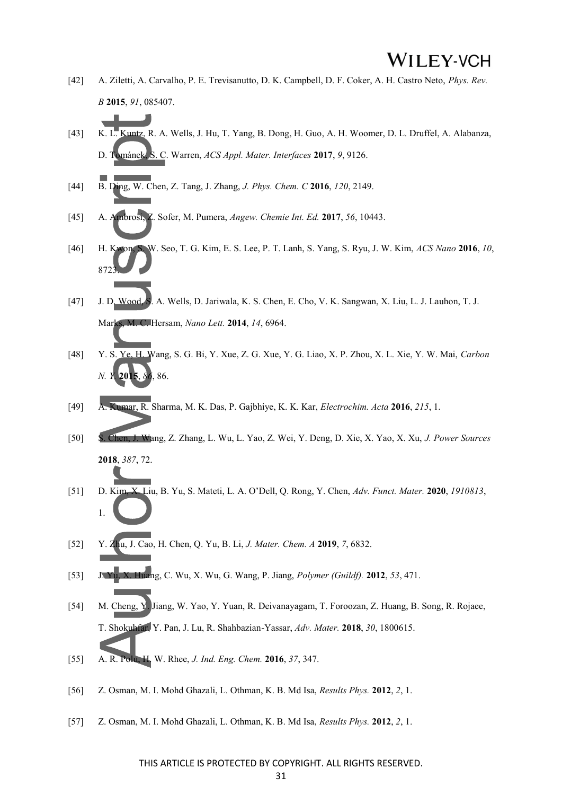- [42] A. Ziletti, A. Carvalho, P. E. Trevisanutto, D. K. Campbell, D. F. Coker, A. H. Castro Neto, *Phys. Rev. B* **2015**, *91*, 085407.
- [43] K. L. Kuntz, R. A. Wells, J. Hu, T. Yang, B. Dong, H. Guo, A. H. Woomer, D. L. Druffel, A. Alabanza, D. Tománek, S. C. Warren, *ACS Appl. Mater. Interfaces* **2017**, *9*, 9126.
- [44] B. Ding, W. Chen, Z. Tang, J. Zhang, *J. Phys. Chem. C* **2016**, *120*, 2149.
- [45] A. Ambrosi, Z. Sofer, M. Pumera, *Angew. Chemie Int. Ed.* **2017**, *56*, 10443.
- [46] H. Kwon, S. W. Seo, T. G. Kim, E. S. Lee, P. T. Lanh, S. Yang, S. Ryu, J. W. Kim, *ACS Nano* **2016**, *10*, 872
- [47] J. D. Wood, S. A. Wells, D. Jariwala, K. S. Chen, E. Cho, V. K. Sangwan, X. Liu, L. J. Lauhon, T. J. Marks, M. C. Hersam, *Nano Lett.* **2014**, *14*, 6964.
- [48] Y. S. Ye, H. Wang, S. G. Bi, Y. Xue, Z. G. Xue, Y. G. Liao, X. P. Zhou, X. L. Xie, Y. W. Mai, *Carbon N. Y.* **2015**, *86*, 86.
- [49] A. Kumar, R. Sharma, M. K. Das, P. Gajbhiye, K. K. Kar, *Electrochim. Acta* **2016**, *215*, 1.
- [50] S. Chen, J. Wang, Z. Zhang, L. Wu, L. Yao, Z. Wei, Y. Deng, D. Xie, X. Yao, X. Xu, *J. Power Sources* **2018**, *387*, 72.
- [51] D. Kim, X. Liu, B. Yu, S. Mateti, L. A. O'Dell, Q. Rong, Y. Chen, *Adv. Funct. Mater.* **2020**, *1910813*, 1.
- [52] Y. Zhu, J. Cao, H. Chen, Q. Yu, B. Li, *J. Mater. Chem. A* **2019**, *7*, 6832.
- [53] J. Yu, X. Huang, C. Wu, X. Wu, G. Wang, P. Jiang, *Polymer (Guildf).* **2012**, *53*, 471.
- [54] M. Cheng, Y. Jiang, W. Yao, Y. Yuan, R. Deivanayagam, T. Foroozan, Z. Huang, B. Song, R. Rojaee, T. Shokuhfar, Y. Pan, J. Lu, R. Shahbazian-Yassar, *Adv. Mater.* **2018**, *30*, 1800615.
- [55] A. R. Polu, H. W. Rhee, *J. Ind. Eng. Chem.* **2016**, *37*, 347.
- [56] Z. Osman, M. I. Mohd Ghazali, L. Othman, K. B. Md Isa, *Results Phys.* **2012**, *2*, 1.
- [57] Z. Osman, M. I. Mohd Ghazali, L. Othman, K. B. Md Isa, *Results Phys.* **2012**, *2*, 1.

#### THIS ARTICLE IS PROTECTED BY COPYRIGHT. ALL RIGHTS RESERVED.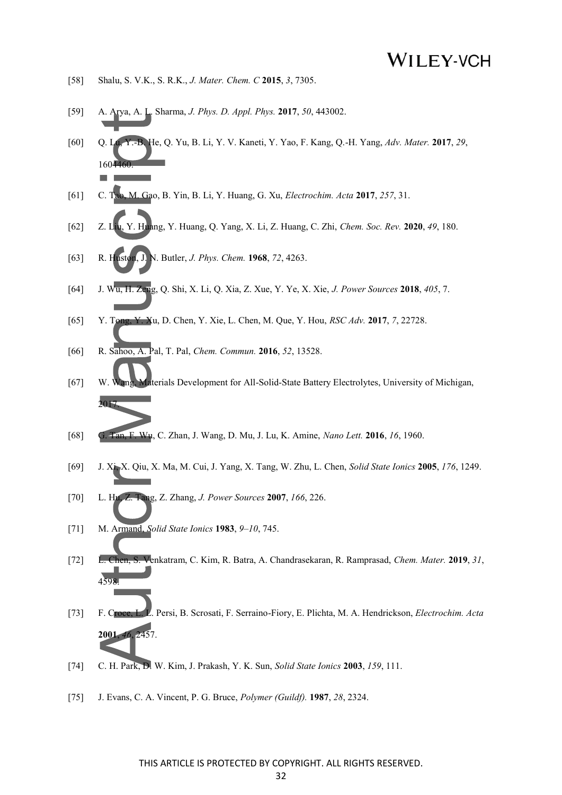- [58] Shalu, S. V.K., S. R.K., *J. Mater. Chem. C* **2015**, *3*, 7305.
- [59] A. Arya, A. L. Sharma, *J. Phys. D. Appl. Phys.* **2017**, *50*, 443002.
- [60] Q. Lu, Y.-B. He, Q. Yu, B. Li, Y. V. Kaneti, Y. Yao, F. Kang, Q.-H. Yang, *Adv. Mater.* **2017**, *29*, 1604460.
- [61] C. Tao, M. Gao, B. Yin, B. Li, Y. Huang, G. Xu, *Electrochim. Acta* **2017**, *257*, 31.
- [62] Z. Liu, Y. Huang, Y. Huang, Q. Yang, X. Li, Z. Huang, C. Zhi, *Chem. Soc. Rev.* **2020**, *49*, 180.
- [63] R. Huston, J. N. Butler, *J. Phys. Chem.* **1968**, *72*, 4263.
- [64] J. Wu, H. Zeng, Q. Shi, X. Li, Q. Xia, Z. Xue, Y. Ye, X. Xie, *J. Power Sources* **2018**, *405*, 7.
- [65] Y. Tong, Y. Xu, D. Chen, Y. Xie, L. Chen, M. Que, Y. Hou, *RSC Adv.* **2017**, *7*, 22728.
- [66] R. Sahoo, A. Pal, T. Pal, *Chem. Commun.* **2016**, *52*, 13528.
- [67] W. Wang, Materials Development for All-Solid-State Battery Electrolytes, University of Michigan, 2017.
- [68] G. Tan, F. Wu, C. Zhan, J. Wang, D. Mu, J. Lu, K. Amine, *Nano Lett.* **2016**, *16*, 1960.
- [69] J. Xi, X. Qiu, X. Ma, M. Cui, J. Yang, X. Tang, W. Zhu, L. Chen, *Solid State Ionics* **2005**, *176*, 1249.
- [70] L. Hu, Z. Tang, Z. Zhang, *J. Power Sources* **2007**, *166*, 226.
- [71] M. Armand, *Solid State Ionics* **1983**, *9*–*10*, 745.
- [72] L. Chen, S. Venkatram, C. Kim, R. Batra, A. Chandrasekaran, R. Ramprasad, *Chem. Mater.* **2019**, *31*,  $45c$
- [73] F. Croce, L. L. Persi, B. Scrosati, F. Serraino-Fiory, E. Plichta, M. A. Hendrickson, *Electrochim. Acta* **2001**, *46*, 2457.
- [74] C. H. Park, D. W. Kim, J. Prakash, Y. K. Sun, *Solid State Ionics* **2003**, *159*, 111.
- [75] J. Evans, C. A. Vincent, P. G. Bruce, *Polymer (Guildf).* **1987**, *28*, 2324.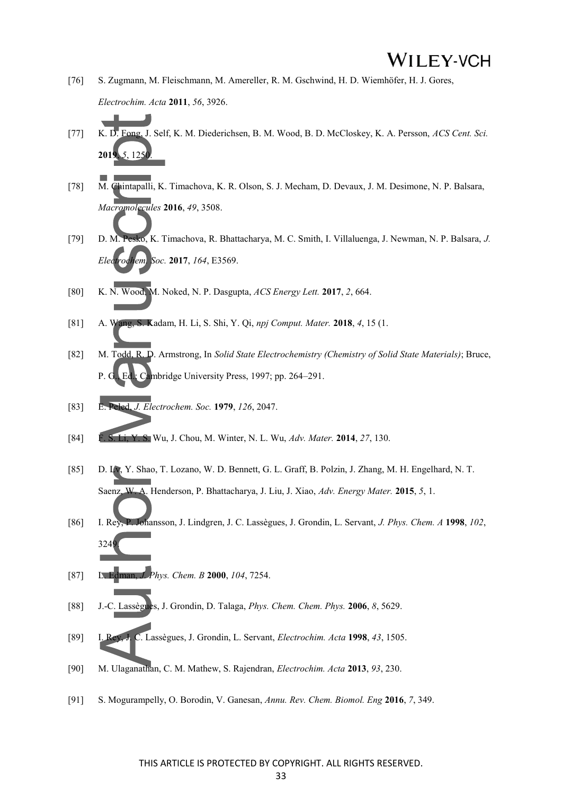- [76] S. Zugmann, M. Fleischmann, M. Amereller, R. M. Gschwind, H. D. Wiemhöfer, H. J. Gores, *Electrochim. Acta* **2011**, *56*, 3926.
- [77] K. D. Fong, J. Self, K. M. Diederichsen, B. M. Wood, B. D. McCloskey, K. A. Persson, *ACS Cent. Sci.* **2019**, *5*, 1250.
- [78] M. Chintapalli, K. Timachova, K. R. Olson, S. J. Mecham, D. Devaux, J. M. Desimone, N. P. Balsara, *Macromolecules* **2016**, *49*, 3508.
- [79] D. M. Pesko, K. Timachova, R. Bhattacharya, M. C. Smith, I. Villaluenga, J. Newman, N. P. Balsara, *J. Electrochem. Soc.* **2017**, *164*, E3569.
- [80] K. N. Wood, M. Noked, N. P. Dasgupta, *ACS Energy Lett.* **2017**, *2*, 664.
- [81] A. Wang, S. Kadam, H. Li, S. Shi, Y. Qi, *npj Comput. Mater.* **2018**, *4*, 15 (1.
- [82] M. Todd, R. D. Armstrong, In *Solid State Electrochemistry (Chemistry of Solid State Materials)*; Bruce, P. G., Ed.; Cambridge University Press, 1997; pp. 264–291.
- [83] E. Peled, *J. Electrochem. Soc.* **1979**, *126*, 2047.
- [84] F. S. Li, Y. S. Wu, J. Chou, M. Winter, N. L. Wu, *Adv. Mater.* **2014**, *27*, 130.
- [85] D. Lv, Y. Shao, T. Lozano, W. D. Bennett, G. L. Graff, B. Polzin, J. Zhang, M. H. Engelhard, N. T. Saenz, W. A. Henderson, P. Bhattacharya, J. Liu, J. Xiao, *Adv. Energy Mater.* **2015**, *5*, 1.
- [86] I. Rey, P. Johansson, J. Lindgren, J. C. Lassègues, J. Grondin, L. Servant, *J. Phys. Chem. A* **1998**, *102*, 3249.
- [87] L. Edman, *J. Phys. Chem. B* **2000**, *104*, 7254.
- [88] J.-C. Lassègues, J. Grondin, D. Talaga, *Phys. Chem. Chem. Phys.* **2006**, *8*, 5629.
- [89] I. Rey, J. C. Lassègues, J. Grondin, L. Servant, *Electrochim. Acta* **1998**, *43*, 1505.
- [90] M. Ulaganathan, C. M. Mathew, S. Rajendran, *Electrochim. Acta* **2013**, *93*, 230.
- [91] S. Mogurampelly, O. Borodin, V. Ganesan, *Annu. Rev. Chem. Biomol. Eng* **2016**, *7*, 349.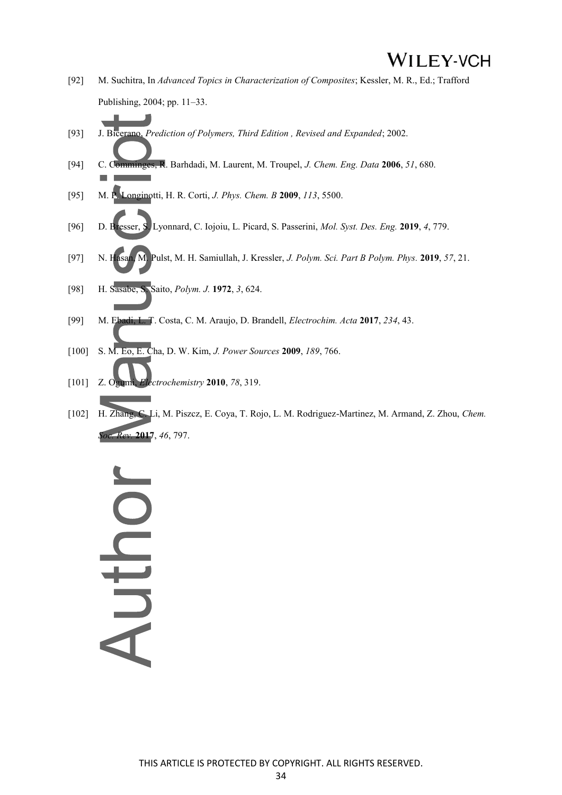- [92] M. Suchitra, In *Advanced Topics in Characterization of Composites*; Kessler, M. R., Ed.; Trafford Publishing, 2004; pp. 11–33.
- [93] J. Bicerano, *Prediction of Polymers, Third Edition , Revised and Expanded*; 2002.
- [94] C. Comminges, R. Barhdadi, M. Laurent, M. Troupel, *J. Chem. Eng. Data* **2006**, *51*, 680.
- [95] M. P. Longinotti, H. R. Corti, *J. Phys. Chem. B* **2009**, *113*, 5500.
- [96] D. Bresser, S. Lyonnard, C. Iojoiu, L. Picard, S. Passerini, *Mol. Syst. Des. Eng.* **2019**, *4*, 779.
- [97] N. Hasan, M. Pulst, M. H. Samiullah, J. Kressler, *J. Polym. Sci. Part B Polym. Phys.* **2019**, *57*, 21.
- [98] H. Sasabe, S. Saito, *Polym. J.* **1972**, *3*, 624.
- [99] M. Ebadi, L. T. Costa, C. M. Araujo, D. Brandell, *Electrochim. Acta* **2017**, *234*, 43.
- [100] S. M. Eo, E. Cha, D. W. Kim, *J. Power Sources* **2009**, *189*, 766.
- [101] Z. Ogumi, *Electrochemistry* **2010**, *78*, 319.
- [102] H. Zhang, C. Li, M. Piszcz, E. Coya, T. Rojo, L. M. Rodriguez-Martinez, M. Armand, Z. Zhou, *Chem. Soc. Rev.* **2017**, *46*, 797.

# OUTPIN